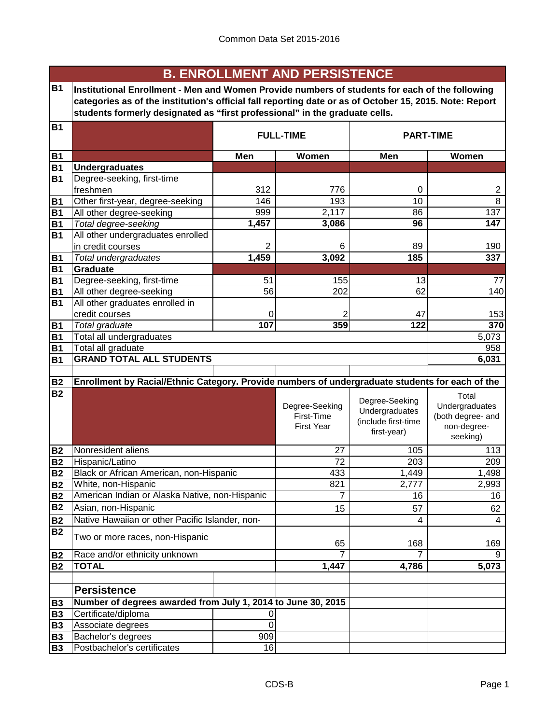|                        |                                                                                                         |                                   | <b>B. ENROLLMENT AND PERSISTENCE</b> |                     |                         |  |  |  |
|------------------------|---------------------------------------------------------------------------------------------------------|-----------------------------------|--------------------------------------|---------------------|-------------------------|--|--|--|
| <b>B1</b>              | Institutional Enrollment - Men and Women Provide numbers of students for each of the following          |                                   |                                      |                     |                         |  |  |  |
|                        | categories as of the institution's official fall reporting date or as of October 15, 2015. Note: Report |                                   |                                      |                     |                         |  |  |  |
|                        | students formerly designated as "first professional" in the graduate cells.                             |                                   |                                      |                     |                         |  |  |  |
| <b>B1</b>              |                                                                                                         |                                   |                                      |                     |                         |  |  |  |
|                        |                                                                                                         | <b>FULL-TIME</b>                  | <b>PART-TIME</b>                     |                     |                         |  |  |  |
| <b>B1</b>              |                                                                                                         | Men                               | Women                                |                     |                         |  |  |  |
| <b>B1</b>              | <b>Undergraduates</b>                                                                                   |                                   |                                      |                     |                         |  |  |  |
| <b>B1</b>              | Degree-seeking, first-time                                                                              |                                   |                                      |                     |                         |  |  |  |
|                        | freshmen                                                                                                | 312                               | 776                                  | 0                   | 2                       |  |  |  |
| <b>B1</b>              | Other first-year, degree-seeking                                                                        | 146                               | 193                                  | 10                  | 8                       |  |  |  |
| <b>B1</b>              | All other degree-seeking                                                                                | 999                               | 2,117                                | 86                  | 137                     |  |  |  |
| <b>B1</b>              | Total degree-seeking                                                                                    | 1,457                             | 3,086                                | 96                  | 147                     |  |  |  |
| <b>B1</b>              | All other undergraduates enrolled                                                                       |                                   |                                      |                     |                         |  |  |  |
|                        | in credit courses                                                                                       | $\overline{2}$                    | 6                                    | 89                  | 190                     |  |  |  |
| <b>B1</b>              | <b>Total undergraduates</b>                                                                             | 1,459                             | 3,092                                | 185                 | 337                     |  |  |  |
| <b>B1</b>              | Graduate                                                                                                |                                   |                                      |                     |                         |  |  |  |
| <b>B1</b>              | Degree-seeking, first-time                                                                              | 51                                | 155                                  | 13                  | 77                      |  |  |  |
| <b>B1</b>              | All other degree-seeking                                                                                | $\overline{56}$                   | 202                                  | 62                  | 140                     |  |  |  |
| <b>B1</b>              | All other graduates enrolled in                                                                         |                                   |                                      |                     |                         |  |  |  |
|                        | credit courses                                                                                          | 0                                 | 2                                    | 47                  | 153                     |  |  |  |
| <b>B1</b>              | Total graduate                                                                                          | 107                               | 359                                  | 122                 | 370                     |  |  |  |
| <b>B1</b>              | Total all undergraduates                                                                                |                                   |                                      |                     | 5,073                   |  |  |  |
| <b>B1</b>              | Total all graduate                                                                                      |                                   |                                      |                     | 958                     |  |  |  |
| <b>B1</b>              | <b>GRAND TOTAL ALL STUDENTS</b>                                                                         |                                   |                                      |                     | 6,031                   |  |  |  |
|                        |                                                                                                         |                                   |                                      |                     |                         |  |  |  |
| <b>B2</b>              | Enrollment by Racial/Ethnic Category. Provide numbers of undergraduate students for each of the         |                                   |                                      |                     |                         |  |  |  |
| <b>B2</b>              |                                                                                                         |                                   |                                      | Degree-Seeking      | Total                   |  |  |  |
|                        |                                                                                                         |                                   | Degree-Seeking                       | Undergraduates      | Undergraduates          |  |  |  |
|                        |                                                                                                         |                                   | First-Time                           | (include first-time | (both degree- and       |  |  |  |
|                        |                                                                                                         |                                   | <b>First Year</b>                    | first-year)         | non-degree-<br>seeking) |  |  |  |
|                        |                                                                                                         |                                   |                                      |                     |                         |  |  |  |
| <b>B2</b>              | Nonresident aliens                                                                                      |                                   | 27                                   | 105                 | 113                     |  |  |  |
| <b>B2</b>              | Hispanic/Latino<br>Black or African American, non-Hispanic                                              |                                   | 72                                   | 203                 | 209                     |  |  |  |
| <b>B2</b>              |                                                                                                         |                                   | 433                                  | 1,449               | 1,498                   |  |  |  |
| <b>B2</b><br><b>B2</b> | White, non-Hispanic<br>American Indian or Alaska Native, non-Hispanic                                   |                                   | 821<br>7                             | 2,777<br>16         | 2,993<br>16             |  |  |  |
| <b>B2</b>              | Asian, non-Hispanic                                                                                     |                                   |                                      |                     |                         |  |  |  |
|                        |                                                                                                         |                                   | 15                                   | 57                  | 62                      |  |  |  |
| <b>B2</b>              | Native Hawaiian or other Pacific Islander, non-                                                         |                                   |                                      | 4                   | 4                       |  |  |  |
| <b>B2</b>              | Two or more races, non-Hispanic                                                                         |                                   |                                      |                     |                         |  |  |  |
|                        |                                                                                                         |                                   | 65                                   | 168                 | 169                     |  |  |  |
| <b>B2</b>              | Race and/or ethnicity unknown                                                                           |                                   | $\overline{7}$                       | 7                   | 9                       |  |  |  |
| <b>B2</b>              | <b>TOTAL</b>                                                                                            |                                   | 1,447                                | 4,786               | 5,073                   |  |  |  |
|                        |                                                                                                         |                                   |                                      |                     |                         |  |  |  |
|                        | <b>Persistence</b>                                                                                      |                                   |                                      |                     |                         |  |  |  |
| <b>B3</b>              | Number of degrees awarded from July 1, 2014 to June 30, 2015                                            |                                   |                                      |                     |                         |  |  |  |
| <b>B3</b>              | Certificate/diploma                                                                                     | 0                                 |                                      |                     |                         |  |  |  |
| <b>B3</b>              | Associate degrees                                                                                       | $\overline{0}$                    |                                      |                     |                         |  |  |  |
| <b>B3</b>              | Bachelor's degrees                                                                                      | 909                               |                                      |                     |                         |  |  |  |
| <b>B3</b>              |                                                                                                         | Postbachelor's certificates<br>16 |                                      |                     |                         |  |  |  |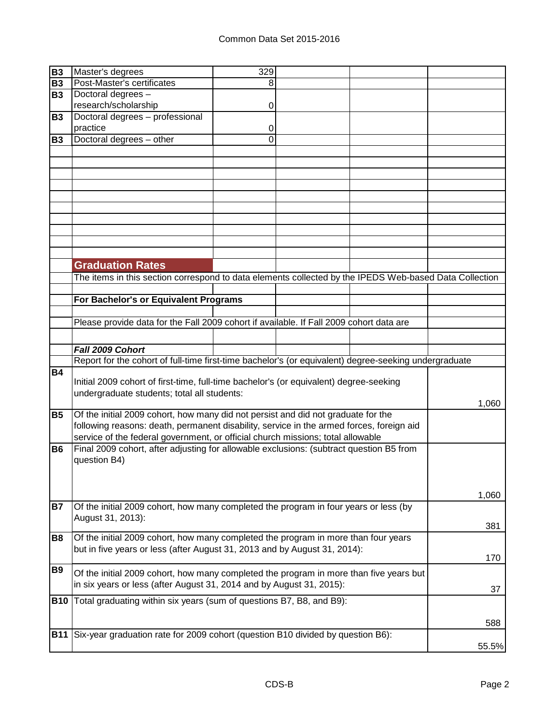| <b>B3</b>  | Master's degrees                                                                                       | 329 |  |       |
|------------|--------------------------------------------------------------------------------------------------------|-----|--|-------|
| <b>B3</b>  | Post-Master's certificates                                                                             | 8   |  |       |
| <b>B3</b>  | Doctoral degrees -                                                                                     |     |  |       |
|            | research/scholarship                                                                                   | 0   |  |       |
| <b>B3</b>  | Doctoral degrees - professional                                                                        |     |  |       |
|            | practice                                                                                               | 0   |  |       |
| <b>B3</b>  | Doctoral degrees - other                                                                               | 0   |  |       |
|            |                                                                                                        |     |  |       |
|            |                                                                                                        |     |  |       |
|            |                                                                                                        |     |  |       |
|            |                                                                                                        |     |  |       |
|            |                                                                                                        |     |  |       |
|            |                                                                                                        |     |  |       |
|            |                                                                                                        |     |  |       |
|            |                                                                                                        |     |  |       |
|            |                                                                                                        |     |  |       |
|            |                                                                                                        |     |  |       |
|            |                                                                                                        |     |  |       |
|            | <b>Graduation Rates</b>                                                                                |     |  |       |
|            | The items in this section correspond to data elements collected by the IPEDS Web-based Data Collection |     |  |       |
|            |                                                                                                        |     |  |       |
|            | For Bachelor's or Equivalent Programs                                                                  |     |  |       |
|            |                                                                                                        |     |  |       |
|            | Please provide data for the Fall 2009 cohort if available. If Fall 2009 cohort data are                |     |  |       |
|            |                                                                                                        |     |  |       |
|            | Fall 2009 Cohort                                                                                       |     |  |       |
|            | Report for the cohort of full-time first-time bachelor's (or equivalent) degree-seeking undergraduate  |     |  |       |
| <b>B4</b>  |                                                                                                        |     |  |       |
|            | Initial 2009 cohort of first-time, full-time bachelor's (or equivalent) degree-seeking                 |     |  |       |
|            | undergraduate students; total all students:                                                            |     |  |       |
|            |                                                                                                        |     |  | 1,060 |
| <b>B5</b>  | Of the initial 2009 cohort, how many did not persist and did not graduate for the                      |     |  |       |
|            | following reasons: death, permanent disability, service in the armed forces, foreign aid               |     |  |       |
|            | service of the federal government, or official church missions; total allowable                        |     |  |       |
| <b>B6</b>  | Final 2009 cohort, after adjusting for allowable exclusions: (subtract question B5 from                |     |  |       |
|            | question B4)                                                                                           |     |  |       |
|            |                                                                                                        |     |  |       |
|            |                                                                                                        |     |  |       |
|            |                                                                                                        |     |  | 1,060 |
| <b>B7</b>  | Of the initial 2009 cohort, how many completed the program in four years or less (by                   |     |  |       |
|            | August 31, 2013):                                                                                      |     |  |       |
|            |                                                                                                        |     |  | 381   |
| <b>B8</b>  | Of the initial 2009 cohort, how many completed the program in more than four years                     |     |  |       |
|            | but in five years or less (after August 31, 2013 and by August 31, 2014):                              |     |  |       |
|            |                                                                                                        |     |  | 170   |
| <b>B9</b>  | Of the initial 2009 cohort, how many completed the program in more than five years but                 |     |  |       |
|            | in six years or less (after August 31, 2014 and by August 31, 2015):                                   |     |  |       |
|            |                                                                                                        |     |  | 37    |
| <b>B10</b> | Total graduating within six years (sum of questions B7, B8, and B9):                                   |     |  |       |
|            |                                                                                                        |     |  |       |
|            |                                                                                                        |     |  | 588   |
| <b>B11</b> | Six-year graduation rate for 2009 cohort (question B10 divided by question B6):                        |     |  |       |
|            |                                                                                                        |     |  | 55.5% |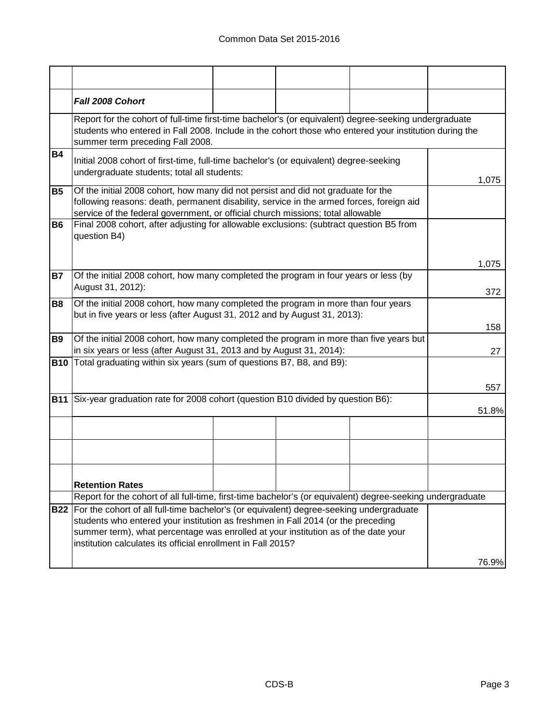|           | Fall 2008 Cohort                                                                                                                                                                                                                                                 |  |           |
|-----------|------------------------------------------------------------------------------------------------------------------------------------------------------------------------------------------------------------------------------------------------------------------|--|-----------|
|           | Report for the cohort of full-time first-time bachelor's (or equivalent) degree-seeking undergraduate<br>students who entered in Fall 2008. Include in the cohort those who entered your institution during the<br>summer term preceding Fall 2008.              |  |           |
| <b>B4</b> | Initial 2008 cohort of first-time, full-time bachelor's (or equivalent) degree-seeking<br>undergraduate students; total all students:                                                                                                                            |  | 1,075     |
| <b>B5</b> | Of the initial 2008 cohort, how many did not persist and did not graduate for the<br>following reasons: death, permanent disability, service in the armed forces, foreign aid<br>service of the federal government, or official church missions; total allowable |  |           |
| <b>B6</b> | Final 2008 cohort, after adjusting for allowable exclusions: (subtract question B5 from<br>question B4)                                                                                                                                                          |  |           |
|           |                                                                                                                                                                                                                                                                  |  | 1,075     |
| <b>B7</b> | Of the initial 2008 cohort, how many completed the program in four years or less (by<br>August 31, 2012):                                                                                                                                                        |  | 372       |
| <b>B8</b> | Of the initial 2008 cohort, how many completed the program in more than four years<br>but in five years or less (after August 31, 2012 and by August 31, 2013):                                                                                                  |  |           |
| <b>B9</b> | Of the initial 2008 cohort, how many completed the program in more than five years but<br>in six years or less (after August 31, 2013 and by August 31, 2014):                                                                                                   |  | 158<br>27 |
|           | <b>B10</b> Total graduating within six years (sum of questions B7, B8, and B9):                                                                                                                                                                                  |  |           |
|           |                                                                                                                                                                                                                                                                  |  | 557       |
|           | B11 Six-year graduation rate for 2008 cohort (question B10 divided by question B6):                                                                                                                                                                              |  |           |
|           |                                                                                                                                                                                                                                                                  |  | 51.8%     |
|           |                                                                                                                                                                                                                                                                  |  |           |
|           |                                                                                                                                                                                                                                                                  |  |           |
|           |                                                                                                                                                                                                                                                                  |  |           |
|           | <b>Retention Rates</b>                                                                                                                                                                                                                                           |  |           |
|           | Report for the cohort of all full-time, first-time bachelor's (or equivalent) degree-seeking undergraduate                                                                                                                                                       |  |           |
|           | B22 For the cohort of all full-time bachelor's (or equivalent) degree-seeking undergraduate                                                                                                                                                                      |  |           |
|           | students who entered your institution as freshmen in Fall 2014 (or the preceding                                                                                                                                                                                 |  |           |
|           | summer term), what percentage was enrolled at your institution as of the date your<br>institution calculates its official enrollment in Fall 2015?                                                                                                               |  |           |
|           |                                                                                                                                                                                                                                                                  |  | 76.9%     |
|           |                                                                                                                                                                                                                                                                  |  |           |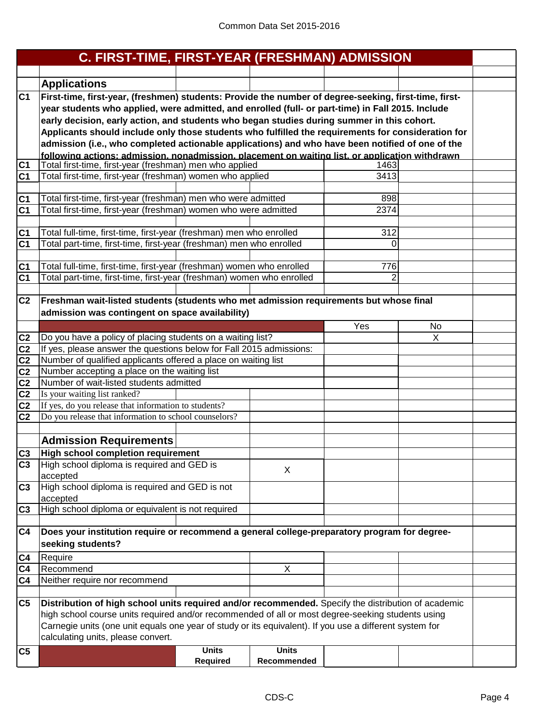|                | C. FIRST-TIME, FIRST-YEAR (FRESHMAN) ADMISSION                                                          |                 |              |                |    |  |
|----------------|---------------------------------------------------------------------------------------------------------|-----------------|--------------|----------------|----|--|
|                |                                                                                                         |                 |              |                |    |  |
|                | <b>Applications</b>                                                                                     |                 |              |                |    |  |
| C <sub>1</sub> | First-time, first-year, (freshmen) students: Provide the number of degree-seeking, first-time, first-   |                 |              |                |    |  |
|                | year students who applied, were admitted, and enrolled (full- or part-time) in Fall 2015. Include       |                 |              |                |    |  |
|                | early decision, early action, and students who began studies during summer in this cohort.              |                 |              |                |    |  |
|                | Applicants should include only those students who fulfilled the requirements for consideration for      |                 |              |                |    |  |
|                | admission (i.e., who completed actionable applications) and who have been notified of one of the        |                 |              |                |    |  |
|                | following actions: admission. nonadmission. placement on waiting list. or application withdrawn         |                 |              |                |    |  |
| C <sub>1</sub> | Total first-time, first-year (freshman) men who applied                                                 |                 |              | 1463           |    |  |
| C <sub>1</sub> | Total first-time, first-year (freshman) women who applied                                               |                 |              | 3413           |    |  |
|                |                                                                                                         |                 |              |                |    |  |
| C1             | Total first-time, first-year (freshman) men who were admitted                                           |                 |              | 898            |    |  |
| C <sub>1</sub> | Total first-time, first-year (freshman) women who were admitted                                         |                 |              | 2374           |    |  |
| C <sub>1</sub> | Total full-time, first-time, first-year (freshman) men who enrolled                                     |                 |              | 312            |    |  |
| C <sub>1</sub> | Total part-time, first-time, first-year (freshman) men who enrolled                                     |                 |              | 0              |    |  |
|                |                                                                                                         |                 |              |                |    |  |
| C <sub>1</sub> | Total full-time, first-time, first-year (freshman) women who enrolled                                   |                 |              | 776            |    |  |
| C <sub>1</sub> | Total part-time, first-time, first-year (freshman) women who enrolled                                   |                 |              | $\overline{2}$ |    |  |
|                |                                                                                                         |                 |              |                |    |  |
| C <sub>2</sub> | Freshman wait-listed students (students who met admission requirements but whose final                  |                 |              |                |    |  |
|                | admission was contingent on space availability)                                                         |                 |              |                |    |  |
|                |                                                                                                         |                 |              | Yes            | No |  |
| C <sub>2</sub> | Do you have a policy of placing students on a waiting list?                                             |                 |              |                | X  |  |
| C <sub>2</sub> | If yes, please answer the questions below for Fall 2015 admissions:                                     |                 |              |                |    |  |
| C <sub>2</sub> | Number of qualified applicants offered a place on waiting list                                          |                 |              |                |    |  |
| C <sub>2</sub> | Number accepting a place on the waiting list                                                            |                 |              |                |    |  |
| C <sub>2</sub> | Number of wait-listed students admitted                                                                 |                 |              |                |    |  |
| C <sub>2</sub> | Is your waiting list ranked?                                                                            |                 |              |                |    |  |
| C <sub>2</sub> | If yes, do you release that information to students?                                                    |                 |              |                |    |  |
| C <sub>2</sub> | Do you release that information to school counselors?                                                   |                 |              |                |    |  |
|                |                                                                                                         |                 |              |                |    |  |
|                | <b>Admission Requirements</b>                                                                           |                 |              |                |    |  |
| C <sub>3</sub> | <b>High school completion requirement</b>                                                               |                 |              |                |    |  |
| C <sub>3</sub> | High school diploma is required and GED is                                                              |                 | X            |                |    |  |
| C <sub>3</sub> | accepted<br>High school diploma is required and GED is not                                              |                 |              |                |    |  |
|                | accepted                                                                                                |                 |              |                |    |  |
| C <sub>3</sub> | High school diploma or equivalent is not required                                                       |                 |              |                |    |  |
|                |                                                                                                         |                 |              |                |    |  |
| C <sub>4</sub> | Does your institution require or recommend a general college-preparatory program for degree-            |                 |              |                |    |  |
|                | seeking students?                                                                                       |                 |              |                |    |  |
| C <sub>4</sub> | Require                                                                                                 |                 |              |                |    |  |
| C4             | Recommend                                                                                               |                 | Χ            |                |    |  |
| C4             | Neither require nor recommend                                                                           |                 |              |                |    |  |
|                |                                                                                                         |                 |              |                |    |  |
| C5             | Distribution of high school units required and/or recommended. Specify the distribution of academic     |                 |              |                |    |  |
|                | high school course units required and/or recommended of all or most degree-seeking students using       |                 |              |                |    |  |
|                | Carnegie units (one unit equals one year of study or its equivalent). If you use a different system for |                 |              |                |    |  |
|                | calculating units, please convert.                                                                      |                 |              |                |    |  |
| C <sub>5</sub> |                                                                                                         | <b>Units</b>    | <b>Units</b> |                |    |  |
|                |                                                                                                         | <b>Required</b> | Recommended  |                |    |  |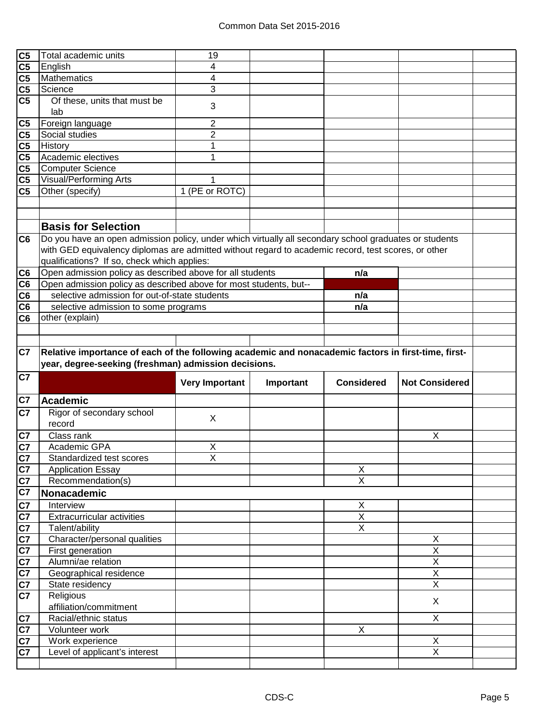| C <sub>5</sub> | Total academic units                                                                                   | 19                    |           |                         |                         |  |
|----------------|--------------------------------------------------------------------------------------------------------|-----------------------|-----------|-------------------------|-------------------------|--|
| C <sub>5</sub> | English                                                                                                | 4                     |           |                         |                         |  |
| C <sub>5</sub> | Mathematics                                                                                            | 4                     |           |                         |                         |  |
| C <sub>5</sub> | Science                                                                                                | 3                     |           |                         |                         |  |
| C <sub>5</sub> | Of these, units that must be                                                                           | 3                     |           |                         |                         |  |
|                | lab                                                                                                    |                       |           |                         |                         |  |
| C <sub>5</sub> | Foreign language                                                                                       | 2                     |           |                         |                         |  |
| C <sub>5</sub> | Social studies                                                                                         | $\overline{2}$        |           |                         |                         |  |
| C <sub>5</sub> | History                                                                                                | 1                     |           |                         |                         |  |
| C <sub>5</sub> | Academic electives                                                                                     | 1                     |           |                         |                         |  |
| C <sub>5</sub> | <b>Computer Science</b>                                                                                |                       |           |                         |                         |  |
| C <sub>5</sub> | <b>Visual/Performing Arts</b>                                                                          | 1                     |           |                         |                         |  |
| C <sub>5</sub> | Other (specify)                                                                                        | 1 (PE or ROTC)        |           |                         |                         |  |
|                |                                                                                                        |                       |           |                         |                         |  |
|                |                                                                                                        |                       |           |                         |                         |  |
|                | <b>Basis for Selection</b>                                                                             |                       |           |                         |                         |  |
| C <sub>6</sub> | Do you have an open admission policy, under which virtually all secondary school graduates or students |                       |           |                         |                         |  |
|                | with GED equivalency diplomas are admitted without regard to academic record, test scores, or other    |                       |           |                         |                         |  |
|                | qualifications? If so, check which applies:                                                            |                       |           |                         |                         |  |
| C <sub>6</sub> | Open admission policy as described above for all students                                              |                       |           | n/a                     |                         |  |
| C <sub>6</sub> | Open admission policy as described above for most students, but--                                      |                       |           |                         |                         |  |
| C <sub>6</sub> | selective admission for out-of-state students                                                          |                       |           | n/a                     |                         |  |
| C <sub>6</sub> | selective admission to some programs                                                                   |                       |           | n/a                     |                         |  |
| C <sub>6</sub> | other (explain)                                                                                        |                       |           |                         |                         |  |
|                |                                                                                                        |                       |           |                         |                         |  |
|                |                                                                                                        |                       |           |                         |                         |  |
| C7             | Relative importance of each of the following academic and nonacademic factors in first-time, first-    |                       |           |                         |                         |  |
|                |                                                                                                        |                       |           |                         |                         |  |
|                | year, degree-seeking (freshman) admission decisions.                                                   |                       |           |                         |                         |  |
|                |                                                                                                        |                       |           |                         |                         |  |
| C7             |                                                                                                        | <b>Very Important</b> | Important | <b>Considered</b>       | <b>Not Considered</b>   |  |
|                |                                                                                                        |                       |           |                         |                         |  |
| C7             | <b>Academic</b>                                                                                        |                       |           |                         |                         |  |
| C7             | Rigor of secondary school                                                                              | X                     |           |                         |                         |  |
|                | record                                                                                                 |                       |           |                         |                         |  |
| C7             | Class rank                                                                                             |                       |           |                         | X                       |  |
| C7             | Academic GPA                                                                                           | X                     |           |                         |                         |  |
| C7             | Standardized test scores                                                                               | $\overline{X}$        |           |                         |                         |  |
| C7             | <b>Application Essay</b>                                                                               |                       |           | $\mathsf X$             |                         |  |
| C7             | Recommendation(s)                                                                                      |                       |           | $\overline{\mathsf{x}}$ |                         |  |
| C7             | Nonacademic                                                                                            |                       |           |                         |                         |  |
| C7             | Interview                                                                                              |                       |           | X                       |                         |  |
| C7             | <b>Extracurricular activities</b>                                                                      |                       |           | Χ                       |                         |  |
| C7             | Talent/ability                                                                                         |                       |           | $\overline{X}$          |                         |  |
| C7             | Character/personal qualities                                                                           |                       |           |                         | X                       |  |
| C7             | First generation                                                                                       |                       |           |                         | $\overline{X}$          |  |
| C7             | Alumni/ae relation                                                                                     |                       |           |                         | $\overline{X}$          |  |
| C7             | Geographical residence                                                                                 |                       |           |                         | $\overline{\mathsf{X}}$ |  |
| C7             | State residency                                                                                        |                       |           |                         | $\overline{\mathsf{x}}$ |  |
| C7             | Religious                                                                                              |                       |           |                         | X                       |  |
|                | affiliation/commitment                                                                                 |                       |           |                         |                         |  |
| C7             | Racial/ethnic status                                                                                   |                       |           |                         | $\overline{X}$          |  |
| C7             | Volunteer work                                                                                         |                       |           | $\pmb{\times}$          |                         |  |
| C7             | Work experience                                                                                        |                       |           |                         | X                       |  |
| C7             | Level of applicant's interest                                                                          |                       |           |                         | $\overline{X}$          |  |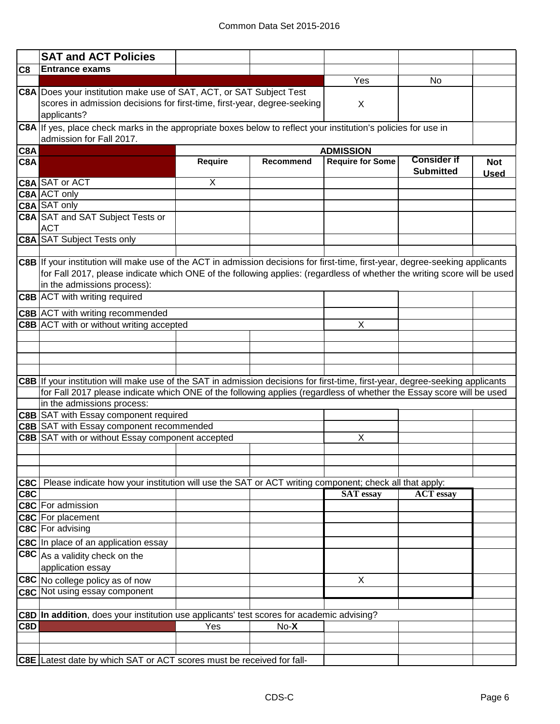|                | <b>SAT and ACT Policies</b>                                                                                                                                                                                                                                                              |                         |                  |                         |                                        |                           |
|----------------|------------------------------------------------------------------------------------------------------------------------------------------------------------------------------------------------------------------------------------------------------------------------------------------|-------------------------|------------------|-------------------------|----------------------------------------|---------------------------|
| C <sub>8</sub> | <b>Entrance exams</b>                                                                                                                                                                                                                                                                    |                         |                  |                         |                                        |                           |
|                |                                                                                                                                                                                                                                                                                          |                         |                  | Yes                     | No                                     |                           |
|                | C8A Does your institution make use of SAT, ACT, or SAT Subject Test<br>scores in admission decisions for first-time, first-year, degree-seeking                                                                                                                                          |                         |                  | X                       |                                        |                           |
|                | applicants?                                                                                                                                                                                                                                                                              |                         |                  |                         |                                        |                           |
|                | C8A If yes, place check marks in the appropriate boxes below to reflect your institution's policies for use in<br>admission for Fall 2017.                                                                                                                                               |                         |                  |                         |                                        |                           |
| C8A            |                                                                                                                                                                                                                                                                                          |                         |                  | <b>ADMISSION</b>        |                                        |                           |
| C8A            |                                                                                                                                                                                                                                                                                          | Require                 | <b>Recommend</b> | <b>Require for Some</b> | <b>Consider if</b><br><b>Submitted</b> | <b>Not</b><br><b>Used</b> |
|                | <b>C8A SAT or ACT</b>                                                                                                                                                                                                                                                                    | $\overline{\mathsf{x}}$ |                  |                         |                                        |                           |
|                | <b>C8A ACT only</b>                                                                                                                                                                                                                                                                      |                         |                  |                         |                                        |                           |
|                | <b>C8A</b> SAT only                                                                                                                                                                                                                                                                      |                         |                  |                         |                                        |                           |
|                | <b>C8A SAT and SAT Subject Tests or</b><br><b>ACT</b>                                                                                                                                                                                                                                    |                         |                  |                         |                                        |                           |
|                | <b>C8A SAT Subject Tests only</b>                                                                                                                                                                                                                                                        |                         |                  |                         |                                        |                           |
|                |                                                                                                                                                                                                                                                                                          |                         |                  |                         |                                        |                           |
|                | C8B If your institution will make use of the ACT in admission decisions for first-time, first-year, degree-seeking applicants<br>for Fall 2017, please indicate which ONE of the following applies: (regardless of whether the writing score will be used<br>in the admissions process): |                         |                  |                         |                                        |                           |
|                | <b>C8B</b> ACT with writing required                                                                                                                                                                                                                                                     |                         |                  |                         |                                        |                           |
|                | C8B ACT with writing recommended                                                                                                                                                                                                                                                         |                         |                  |                         |                                        |                           |
|                | C8B ACT with or without writing accepted                                                                                                                                                                                                                                                 |                         |                  | Χ                       |                                        |                           |
|                |                                                                                                                                                                                                                                                                                          |                         |                  |                         |                                        |                           |
|                | C8B If your institution will make use of the SAT in admission decisions for first-time, first-year, degree-seeking applicants<br>for Fall 2017 please indicate which ONE of the following applies (regardless of whether the Essay score will be used<br>in the admissions process:      |                         |                  |                         |                                        |                           |
|                | <b>C8B</b> SAT with Essay component required                                                                                                                                                                                                                                             |                         |                  |                         |                                        |                           |
|                | <b>C8B SAT with Essay component recommended</b>                                                                                                                                                                                                                                          |                         |                  |                         |                                        |                           |
|                | C8B SAT with or without Essay component accepted                                                                                                                                                                                                                                         |                         |                  | X                       |                                        |                           |
|                |                                                                                                                                                                                                                                                                                          |                         |                  |                         |                                        |                           |
|                |                                                                                                                                                                                                                                                                                          |                         |                  |                         |                                        |                           |
|                |                                                                                                                                                                                                                                                                                          |                         |                  |                         |                                        |                           |
| C8C<br>C8C     | Please indicate how your institution will use the SAT or ACT writing component; check all that apply:                                                                                                                                                                                    |                         |                  | <b>SAT</b> essay        | <b>ACT</b> essay                       |                           |
|                | <b>C8C</b> For admission                                                                                                                                                                                                                                                                 |                         |                  |                         |                                        |                           |
|                | C8C For placement                                                                                                                                                                                                                                                                        |                         |                  |                         |                                        |                           |
|                | C8C For advising                                                                                                                                                                                                                                                                         |                         |                  |                         |                                        |                           |
|                | C8C In place of an application essay                                                                                                                                                                                                                                                     |                         |                  |                         |                                        |                           |
|                | $ {\sf C8C} $ As a validity check on the                                                                                                                                                                                                                                                 |                         |                  |                         |                                        |                           |
|                | application essay                                                                                                                                                                                                                                                                        |                         |                  |                         |                                        |                           |
|                | C8C No college policy as of now                                                                                                                                                                                                                                                          |                         |                  | Χ                       |                                        |                           |
|                | C8C Not using essay component                                                                                                                                                                                                                                                            |                         |                  |                         |                                        |                           |
|                |                                                                                                                                                                                                                                                                                          |                         |                  |                         |                                        |                           |
|                | C8D In addition, does your institution use applicants' test scores for academic advising?                                                                                                                                                                                                |                         |                  |                         |                                        |                           |
| C8D            |                                                                                                                                                                                                                                                                                          | Yes                     | $No-X$           |                         |                                        |                           |
|                |                                                                                                                                                                                                                                                                                          |                         |                  |                         |                                        |                           |
|                |                                                                                                                                                                                                                                                                                          |                         |                  |                         |                                        |                           |
|                | C8E Latest date by which SAT or ACT scores must be received for fall-                                                                                                                                                                                                                    |                         |                  |                         |                                        |                           |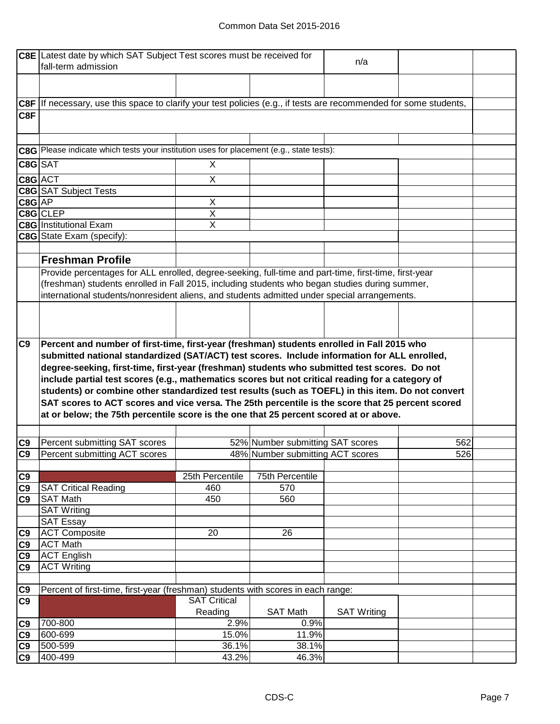#### Common Data Set 2015-2016

|                      | C8E Latest date by which SAT Subject Test scores must be received for                                                                                                                     | n/a                 |                                  |                    |     |
|----------------------|-------------------------------------------------------------------------------------------------------------------------------------------------------------------------------------------|---------------------|----------------------------------|--------------------|-----|
|                      | fall-term admission                                                                                                                                                                       |                     |                                  |                    |     |
|                      |                                                                                                                                                                                           |                     |                                  |                    |     |
|                      | C8F If necessary, use this space to clarify your test policies (e.g., if tests are recommended for some students,                                                                         |                     |                                  |                    |     |
| C8F                  |                                                                                                                                                                                           |                     |                                  |                    |     |
|                      |                                                                                                                                                                                           |                     |                                  |                    |     |
|                      | C8G Please indicate which tests your institution uses for placement (e.g., state tests):                                                                                                  |                     |                                  |                    |     |
| C8G SAT              |                                                                                                                                                                                           | X                   |                                  |                    |     |
| C8G ACT              |                                                                                                                                                                                           | X                   |                                  |                    |     |
|                      | <b>C8G</b> SAT Subject Tests                                                                                                                                                              |                     |                                  |                    |     |
| $C8G$ $AP$           |                                                                                                                                                                                           | X                   |                                  |                    |     |
|                      | C8G CLEP                                                                                                                                                                                  | $\mathsf X$         |                                  |                    |     |
|                      | <b>C8G</b> Institutional Exam                                                                                                                                                             | X                   |                                  |                    |     |
|                      | C8G State Exam (specify):                                                                                                                                                                 |                     |                                  |                    |     |
|                      |                                                                                                                                                                                           |                     |                                  |                    |     |
|                      | <b>Freshman Profile</b>                                                                                                                                                                   |                     |                                  |                    |     |
|                      | Provide percentages for ALL enrolled, degree-seeking, full-time and part-time, first-time, first-year                                                                                     |                     |                                  |                    |     |
|                      | (freshman) students enrolled in Fall 2015, including students who began studies during summer,                                                                                            |                     |                                  |                    |     |
|                      | international students/nonresident aliens, and students admitted under special arrangements.                                                                                              |                     |                                  |                    |     |
|                      |                                                                                                                                                                                           |                     |                                  |                    |     |
|                      |                                                                                                                                                                                           |                     |                                  |                    |     |
|                      |                                                                                                                                                                                           |                     |                                  |                    |     |
|                      |                                                                                                                                                                                           |                     |                                  |                    |     |
| C9                   | Percent and number of first-time, first-year (freshman) students enrolled in Fall 2015 who                                                                                                |                     |                                  |                    |     |
|                      | submitted national standardized (SAT/ACT) test scores. Include information for ALL enrolled,                                                                                              |                     |                                  |                    |     |
|                      |                                                                                                                                                                                           |                     |                                  |                    |     |
|                      | degree-seeking, first-time, first-year (freshman) students who submitted test scores. Do not                                                                                              |                     |                                  |                    |     |
|                      | include partial test scores (e.g., mathematics scores but not critical reading for a category of                                                                                          |                     |                                  |                    |     |
|                      | students) or combine other standardized test results (such as TOEFL) in this item. Do not convert                                                                                         |                     |                                  |                    |     |
|                      | SAT scores to ACT scores and vice versa. The 25th percentile is the score that 25 percent scored<br>at or below; the 75th percentile score is the one that 25 percent scored at or above. |                     |                                  |                    |     |
|                      |                                                                                                                                                                                           |                     |                                  |                    |     |
|                      |                                                                                                                                                                                           |                     |                                  |                    |     |
| C <sub>9</sub>       | Percent submitting SAT scores                                                                                                                                                             |                     | 52% Number submitting SAT scores |                    | 562 |
| C <sub>9</sub>       | Percent submitting ACT scores                                                                                                                                                             |                     | 48% Number submitting ACT scores |                    | 526 |
|                      |                                                                                                                                                                                           |                     |                                  |                    |     |
| C9                   |                                                                                                                                                                                           | 25th Percentile     | 75th Percentile                  |                    |     |
| C9                   | <b>SAT Critical Reading</b>                                                                                                                                                               | 460                 | 570                              |                    |     |
| C9                   | <b>SAT Math</b>                                                                                                                                                                           | 450                 | 560                              |                    |     |
|                      | <b>SAT Writing</b>                                                                                                                                                                        |                     |                                  |                    |     |
|                      | <b>SAT Essay</b>                                                                                                                                                                          |                     |                                  |                    |     |
| C9                   | <b>ACT Composite</b>                                                                                                                                                                      | 20                  | 26                               |                    |     |
| C9                   | <b>ACT Math</b>                                                                                                                                                                           |                     |                                  |                    |     |
| C9                   | <b>ACT English</b>                                                                                                                                                                        |                     |                                  |                    |     |
| C <sub>9</sub>       | <b>ACT Writing</b>                                                                                                                                                                        |                     |                                  |                    |     |
|                      |                                                                                                                                                                                           |                     |                                  |                    |     |
| C9<br>C <sub>9</sub> | Percent of first-time, first-year (freshman) students with scores in each range:                                                                                                          | <b>SAT Critical</b> |                                  |                    |     |
|                      |                                                                                                                                                                                           | Reading             | <b>SAT Math</b>                  | <b>SAT Writing</b> |     |
|                      | 700-800                                                                                                                                                                                   | 2.9%                | 0.9%                             |                    |     |
| C <sub>9</sub>       | 600-699                                                                                                                                                                                   | 15.0%               | 11.9%                            |                    |     |
| C9<br>C9             | 500-599                                                                                                                                                                                   | 36.1%               | 38.1%                            |                    |     |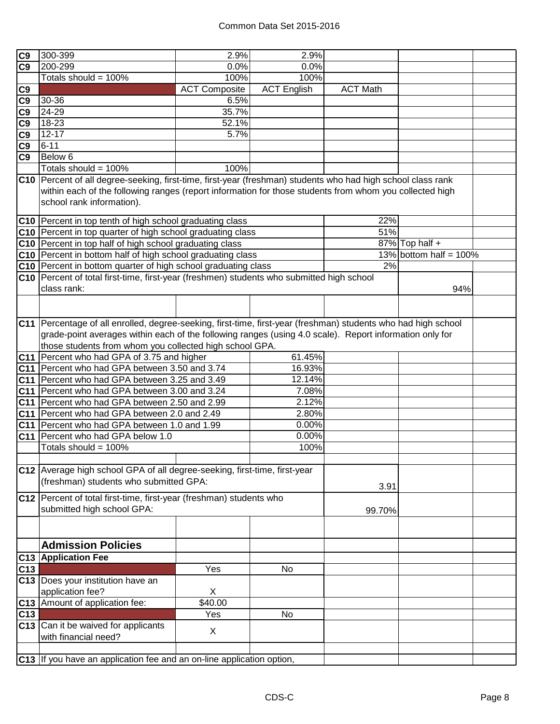| C <sub>9</sub> | 300-399                                                                                                        | 2.9%                 | 2.9%               |                 |                           |  |
|----------------|----------------------------------------------------------------------------------------------------------------|----------------------|--------------------|-----------------|---------------------------|--|
| C9             | 200-299                                                                                                        | 0.0%                 | 0.0%               |                 |                           |  |
|                | Totals should = 100%                                                                                           | 100%                 | 100%               |                 |                           |  |
| C9             |                                                                                                                | <b>ACT Composite</b> | <b>ACT English</b> | <b>ACT Math</b> |                           |  |
| C9             | 30-36                                                                                                          | 6.5%                 |                    |                 |                           |  |
| C <sub>9</sub> | 24-29                                                                                                          | 35.7%                |                    |                 |                           |  |
| C <sub>9</sub> | 18-23                                                                                                          | 52.1%                |                    |                 |                           |  |
| C <sub>9</sub> | $12 - 17$                                                                                                      | 5.7%                 |                    |                 |                           |  |
| C <sub>9</sub> | $6 - 11$                                                                                                       |                      |                    |                 |                           |  |
| C <sub>9</sub> | Below 6                                                                                                        |                      |                    |                 |                           |  |
|                | Totals should = 100%                                                                                           | 100%                 |                    |                 |                           |  |
|                | C10 Percent of all degree-seeking, first-time, first-year (freshman) students who had high school class rank   |                      |                    |                 |                           |  |
|                | within each of the following ranges (report information for those students from whom you collected high        |                      |                    |                 |                           |  |
|                |                                                                                                                |                      |                    |                 |                           |  |
|                | school rank information).                                                                                      |                      |                    |                 |                           |  |
|                | C10 Percent in top tenth of high school graduating class                                                       |                      |                    | 22%             |                           |  |
|                | C10 Percent in top quarter of high school graduating class                                                     |                      |                    | 51%             |                           |  |
|                | C10 Percent in top half of high school graduating class                                                        |                      |                    |                 | $87\%$ Top half +         |  |
|                | C10 Percent in bottom half of high school graduating class                                                     |                      |                    |                 | 13% bottom half = $100\%$ |  |
|                | C10 Percent in bottom quarter of high school graduating class                                                  |                      |                    | 2%              |                           |  |
|                | C10   Percent of total first-time, first-year (freshmen) students who submitted high school                    |                      |                    |                 |                           |  |
|                | class rank:                                                                                                    |                      |                    |                 | 94%                       |  |
|                |                                                                                                                |                      |                    |                 |                           |  |
|                |                                                                                                                |                      |                    |                 |                           |  |
|                | C11 Percentage of all enrolled, degree-seeking, first-time, first-year (freshman) students who had high school |                      |                    |                 |                           |  |
|                | grade-point averages within each of the following ranges (using 4.0 scale). Report information only for        |                      |                    |                 |                           |  |
|                | those students from whom you collected high school GPA.                                                        |                      |                    |                 |                           |  |
|                | C11   Percent who had GPA of 3.75 and higher                                                                   |                      | 61.45%             |                 |                           |  |
|                | C11 Percent who had GPA between 3.50 and 3.74                                                                  |                      | 16.93%             |                 |                           |  |
|                | C11 Percent who had GPA between 3.25 and 3.49                                                                  |                      | 12.14%             |                 |                           |  |
|                | C11 Percent who had GPA between 3.00 and 3.24                                                                  |                      | 7.08%              |                 |                           |  |
|                | C11 Percent who had GPA between 2.50 and 2.99                                                                  |                      | 2.12%              |                 |                           |  |
|                | C11 Percent who had GPA between 2.0 and 2.49                                                                   |                      | 2.80%              |                 |                           |  |
|                | C11   Percent who had GPA between 1.0 and 1.99                                                                 |                      | 0.00%              |                 |                           |  |
|                | C11 Percent who had GPA below 1.0                                                                              |                      | 0.00%              |                 |                           |  |
|                | Totals should = $100\%$                                                                                        |                      | 100%               |                 |                           |  |
|                |                                                                                                                |                      |                    |                 |                           |  |
|                | C12 Average high school GPA of all degree-seeking, first-time, first-year                                      |                      |                    |                 |                           |  |
|                | (freshman) students who submitted GPA:                                                                         |                      |                    |                 |                           |  |
|                |                                                                                                                |                      |                    | 3.91            |                           |  |
|                | C12 Percent of total first-time, first-year (freshman) students who                                            |                      |                    |                 |                           |  |
|                | submitted high school GPA:                                                                                     |                      |                    | 99.70%          |                           |  |
|                |                                                                                                                |                      |                    |                 |                           |  |
|                |                                                                                                                |                      |                    |                 |                           |  |
|                | <b>Admission Policies</b>                                                                                      |                      |                    |                 |                           |  |
| C13            | <b>Application Fee</b>                                                                                         |                      |                    |                 |                           |  |
| C13            |                                                                                                                | Yes                  | No                 |                 |                           |  |
|                | C13 Does your institution have an                                                                              |                      |                    |                 |                           |  |
|                | application fee?                                                                                               | X                    |                    |                 |                           |  |
| C13            | Amount of application fee:                                                                                     | \$40.00              |                    |                 |                           |  |
| C13            |                                                                                                                | Yes                  | No                 |                 |                           |  |
|                | C13 Can it be waived for applicants                                                                            |                      |                    |                 |                           |  |
|                | with financial need?                                                                                           | X                    |                    |                 |                           |  |
|                |                                                                                                                |                      |                    |                 |                           |  |
|                | C13 If you have an application fee and an on-line application option,                                          |                      |                    |                 |                           |  |
|                |                                                                                                                |                      |                    |                 |                           |  |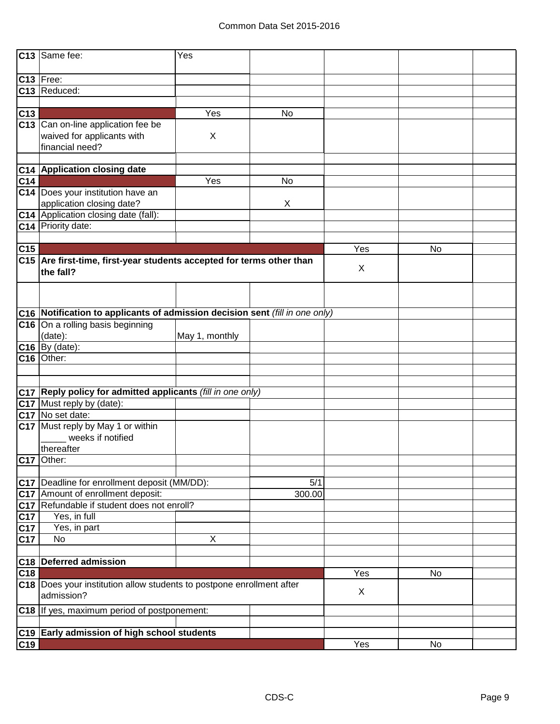|                 | C13 Same fee:                                                                | Yes            |        |     |    |  |
|-----------------|------------------------------------------------------------------------------|----------------|--------|-----|----|--|
|                 | C13 Free:                                                                    |                |        |     |    |  |
|                 | C13 Reduced:                                                                 |                |        |     |    |  |
|                 |                                                                              |                |        |     |    |  |
| C13             |                                                                              | Yes            | No     |     |    |  |
|                 | C13 Can on-line application fee be                                           |                |        |     |    |  |
|                 | waived for applicants with<br>financial need?                                | X              |        |     |    |  |
|                 | C14 Application closing date                                                 |                |        |     |    |  |
|                 |                                                                              | Yes            |        |     |    |  |
| C <sub>14</sub> | C14  Does your institution have an                                           |                | No     |     |    |  |
|                 | application closing date?                                                    |                | X      |     |    |  |
|                 | C14 Application closing date (fall):                                         |                |        |     |    |  |
|                 | C14 Priority date:                                                           |                |        |     |    |  |
|                 |                                                                              |                |        |     |    |  |
| C15             |                                                                              |                |        | Yes | No |  |
|                 | C15 Are first-time, first-year students accepted for terms other than        |                |        |     |    |  |
|                 | the fall?                                                                    |                |        | X   |    |  |
|                 |                                                                              |                |        |     |    |  |
|                 | C16 Notification to applicants of admission decision sent (fill in one only) |                |        |     |    |  |
|                 | C16 On a rolling basis beginning                                             |                |        |     |    |  |
|                 | (date):                                                                      | May 1, monthly |        |     |    |  |
|                 | $C16$ By (date):                                                             |                |        |     |    |  |
|                 | C16 Other:                                                                   |                |        |     |    |  |
|                 |                                                                              |                |        |     |    |  |
|                 |                                                                              |                |        |     |    |  |
|                 | C17 Reply policy for admitted applicants (fill in one only)                  |                |        |     |    |  |
|                 | C17 Must reply by (date):                                                    |                |        |     |    |  |
|                 | C17 No set date:                                                             |                |        |     |    |  |
|                 | C17 Must reply by May 1 or within                                            |                |        |     |    |  |
|                 | weeks if notified                                                            |                |        |     |    |  |
|                 | thereafter                                                                   |                |        |     |    |  |
|                 | C17 Other:                                                                   |                |        |     |    |  |
|                 |                                                                              |                |        |     |    |  |
|                 | C17   Deadline for enrollment deposit (MM/DD):                               |                | 5/1    |     |    |  |
|                 | C17 Amount of enrollment deposit:                                            |                | 300.00 |     |    |  |
|                 | C17 Refundable if student does not enroll?<br>Yes, in full                   |                |        |     |    |  |
| C17             |                                                                              |                |        |     |    |  |
| C17<br>C17      | Yes, in part<br>No                                                           | X              |        |     |    |  |
|                 |                                                                              |                |        |     |    |  |
| C18             | <b>Deferred admission</b>                                                    |                |        |     |    |  |
| C18             |                                                                              |                |        | Yes | No |  |
|                 | C18 Does your institution allow students to postpone enrollment after        |                |        |     |    |  |
|                 | admission?                                                                   |                |        | X   |    |  |
|                 | C18 If yes, maximum period of postponement:                                  |                |        |     |    |  |
|                 | C19 Early admission of high school students                                  |                |        |     |    |  |
| C19             |                                                                              |                |        | Yes | No |  |
|                 |                                                                              |                |        |     |    |  |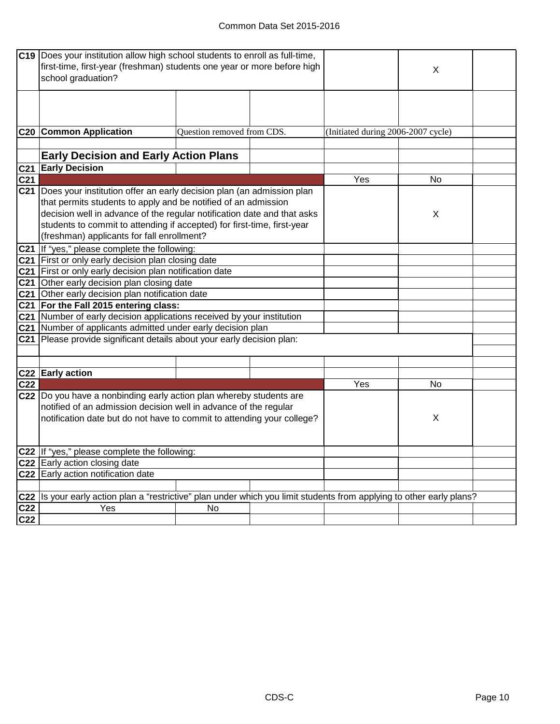|                 | C19 Does your institution allow high school students to enroll as full-time,                                      |                            |                                    |    |  |
|-----------------|-------------------------------------------------------------------------------------------------------------------|----------------------------|------------------------------------|----|--|
|                 | first-time, first-year (freshman) students one year or more before high                                           |                            |                                    |    |  |
|                 | school graduation?                                                                                                |                            |                                    | X  |  |
|                 |                                                                                                                   |                            |                                    |    |  |
|                 |                                                                                                                   |                            |                                    |    |  |
|                 |                                                                                                                   |                            |                                    |    |  |
|                 |                                                                                                                   |                            |                                    |    |  |
|                 |                                                                                                                   |                            |                                    |    |  |
|                 | <b>C20 Common Application</b>                                                                                     | Question removed from CDS. | (Initiated during 2006-2007 cycle) |    |  |
|                 |                                                                                                                   |                            |                                    |    |  |
|                 | <b>Early Decision and Early Action Plans</b>                                                                      |                            |                                    |    |  |
| C <sub>21</sub> | <b>Early Decision</b>                                                                                             |                            |                                    |    |  |
| C <sub>21</sub> |                                                                                                                   |                            | Yes                                | No |  |
|                 | C21 Does your institution offer an early decision plan (an admission plan                                         |                            |                                    |    |  |
|                 | that permits students to apply and be notified of an admission                                                    |                            |                                    |    |  |
|                 |                                                                                                                   |                            |                                    |    |  |
|                 | decision well in advance of the regular notification date and that asks                                           |                            |                                    | Х  |  |
|                 | students to commit to attending if accepted) for first-time, first-year                                           |                            |                                    |    |  |
|                 | (freshman) applicants for fall enrollment?                                                                        |                            |                                    |    |  |
|                 | C21 If "yes," please complete the following:                                                                      |                            |                                    |    |  |
|                 | C21 First or only early decision plan closing date                                                                |                            |                                    |    |  |
|                 | C21 First or only early decision plan notification date                                                           |                            |                                    |    |  |
|                 | C21 Other early decision plan closing date                                                                        |                            |                                    |    |  |
|                 | C21 Other early decision plan notification date                                                                   |                            |                                    |    |  |
|                 | C21 For the Fall 2015 entering class:                                                                             |                            |                                    |    |  |
|                 |                                                                                                                   |                            |                                    |    |  |
|                 | C21 Number of early decision applications received by your institution                                            |                            |                                    |    |  |
|                 | C21 Number of applicants admitted under early decision plan                                                       |                            |                                    |    |  |
|                 | C21 Please provide significant details about your early decision plan:                                            |                            |                                    |    |  |
|                 |                                                                                                                   |                            |                                    |    |  |
|                 |                                                                                                                   |                            |                                    |    |  |
|                 | C22 Early action                                                                                                  |                            |                                    |    |  |
| C <sub>22</sub> |                                                                                                                   |                            | Yes                                | No |  |
|                 | C22 Do you have a nonbinding early action plan whereby students are                                               |                            |                                    |    |  |
|                 | notified of an admission decision well in advance of the regular                                                  |                            |                                    |    |  |
|                 | notification date but do not have to commit to attending your college?                                            |                            |                                    | X  |  |
|                 |                                                                                                                   |                            |                                    |    |  |
|                 |                                                                                                                   |                            |                                    |    |  |
|                 | C22 If "yes," please complete the following:                                                                      |                            |                                    |    |  |
|                 | C22 Early action closing date                                                                                     |                            |                                    |    |  |
|                 | C22 Early action notification date                                                                                |                            |                                    |    |  |
|                 |                                                                                                                   |                            |                                    |    |  |
|                 |                                                                                                                   |                            |                                    |    |  |
| C <sub>22</sub> | Is your early action plan a "restrictive" plan under which you limit students from applying to other early plans? |                            |                                    |    |  |
| C22             | Yes                                                                                                               | No                         |                                    |    |  |
| C22             |                                                                                                                   |                            |                                    |    |  |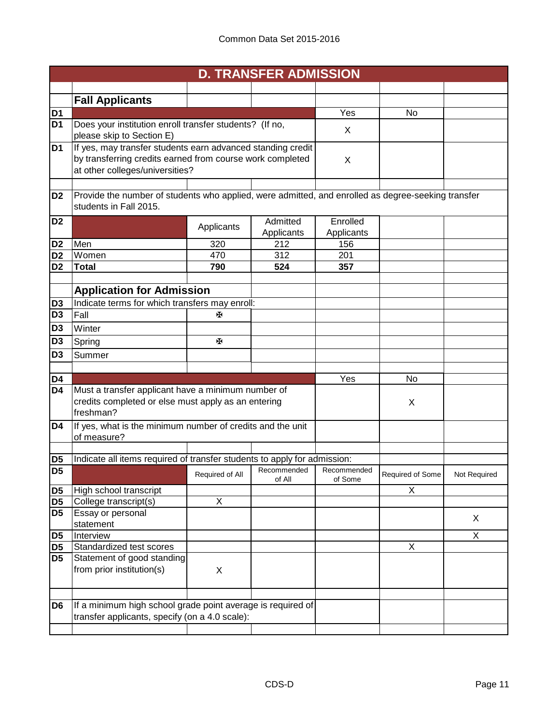|                |                                                                                                                                                             |                 | <b>D. TRANSFER ADMISSION</b> |                        |                  |              |
|----------------|-------------------------------------------------------------------------------------------------------------------------------------------------------------|-----------------|------------------------------|------------------------|------------------|--------------|
|                |                                                                                                                                                             |                 |                              |                        |                  |              |
|                | <b>Fall Applicants</b>                                                                                                                                      |                 |                              |                        |                  |              |
| D <sub>1</sub> |                                                                                                                                                             |                 |                              | Yes                    | No               |              |
| D1             | Does your institution enroll transfer students? (If no,<br>please skip to Section E)                                                                        |                 |                              | X                      |                  |              |
| D <sub>1</sub> | If yes, may transfer students earn advanced standing credit<br>by transferring credits earned from course work completed<br>at other colleges/universities? |                 |                              | X                      |                  |              |
| D <sub>2</sub> | Provide the number of students who applied, were admitted, and enrolled as degree-seeking transfer<br>students in Fall 2015.                                |                 |                              |                        |                  |              |
| D <sub>2</sub> |                                                                                                                                                             | Applicants      | Admitted<br>Applicants       | Enrolled<br>Applicants |                  |              |
| D <sub>2</sub> | Men                                                                                                                                                         | 320             | 212                          | 156                    |                  |              |
| D <sub>2</sub> | Women                                                                                                                                                       | 470             | 312                          | 201                    |                  |              |
| D <sub>2</sub> | <b>Total</b>                                                                                                                                                | 790             | 524                          | 357                    |                  |              |
|                |                                                                                                                                                             |                 |                              |                        |                  |              |
|                | <b>Application for Admission</b>                                                                                                                            |                 |                              |                        |                  |              |
| D <sub>3</sub> | Indicate terms for which transfers may enroll:                                                                                                              |                 |                              |                        |                  |              |
| D <sub>3</sub> | Fall                                                                                                                                                        | ж               |                              |                        |                  |              |
| D <sub>3</sub> | Winter                                                                                                                                                      |                 |                              |                        |                  |              |
| D <sub>3</sub> | Spring                                                                                                                                                      | ж               |                              |                        |                  |              |
| D3             | Summer                                                                                                                                                      |                 |                              |                        |                  |              |
|                |                                                                                                                                                             |                 |                              |                        |                  |              |
| D4             |                                                                                                                                                             |                 |                              | Yes                    | No               |              |
| D4             | Must a transfer applicant have a minimum number of<br>credits completed or else must apply as an entering<br>freshman?                                      |                 |                              |                        | X                |              |
| D4             | If yes, what is the minimum number of credits and the unit<br>of measure?                                                                                   |                 |                              |                        |                  |              |
| D <sub>5</sub> | Indicate all items required of transfer students to apply for admission:                                                                                    |                 |                              |                        |                  |              |
| D <sub>5</sub> |                                                                                                                                                             |                 | Recommended                  | Recommended            |                  |              |
|                |                                                                                                                                                             | Required of All | of All                       | of Some                | Required of Some | Not Required |
| D5             | High school transcript                                                                                                                                      |                 |                              |                        | $\overline{X}$   |              |
| D <sub>5</sub> | College transcript(s)                                                                                                                                       | X               |                              |                        |                  |              |
| D <sub>5</sub> | Essay or personal<br>statement                                                                                                                              |                 |                              |                        |                  | X            |
| D5             | Interview                                                                                                                                                   |                 |                              |                        |                  | X            |
| D <sub>5</sub> | Standardized test scores                                                                                                                                    |                 |                              |                        | X                |              |
| D <sub>5</sub> | Statement of good standing<br>from prior institution(s)                                                                                                     | X               |                              |                        |                  |              |
| D <sub>6</sub> | If a minimum high school grade point average is required of                                                                                                 |                 |                              |                        |                  |              |
|                | transfer applicants, specify (on a 4.0 scale):                                                                                                              |                 |                              |                        |                  |              |
|                |                                                                                                                                                             |                 |                              |                        |                  |              |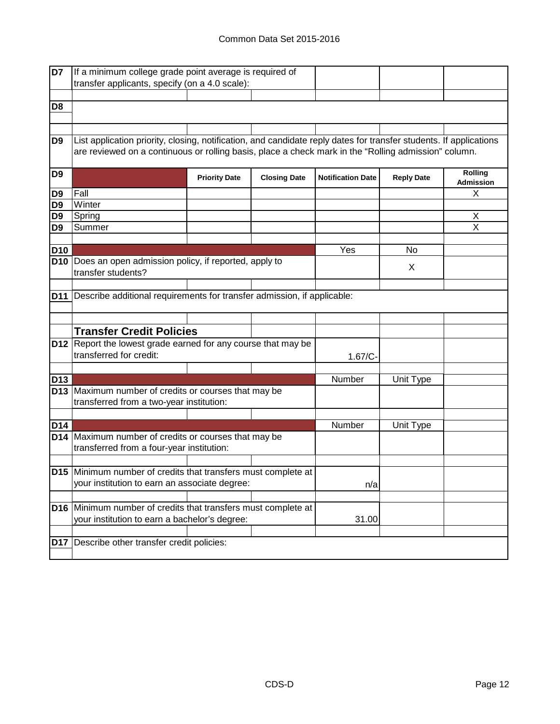| D7             | If a minimum college grade point average is required of                                                            |                      |                     |                          |                   |                  |
|----------------|--------------------------------------------------------------------------------------------------------------------|----------------------|---------------------|--------------------------|-------------------|------------------|
|                | transfer applicants, specify (on a 4.0 scale):                                                                     |                      |                     |                          |                   |                  |
|                |                                                                                                                    |                      |                     |                          |                   |                  |
| D <sub>8</sub> |                                                                                                                    |                      |                     |                          |                   |                  |
|                |                                                                                                                    |                      |                     |                          |                   |                  |
|                |                                                                                                                    |                      |                     |                          |                   |                  |
| D9             | List application priority, closing, notification, and candidate reply dates for transfer students. If applications |                      |                     |                          |                   |                  |
|                | are reviewed on a continuous or rolling basis, place a check mark in the "Rolling admission" column.               |                      |                     |                          |                   |                  |
|                |                                                                                                                    |                      |                     |                          |                   |                  |
| D9             |                                                                                                                    |                      |                     |                          |                   | Rolling          |
|                |                                                                                                                    | <b>Priority Date</b> | <b>Closing Date</b> | <b>Notification Date</b> | <b>Reply Date</b> | <b>Admission</b> |
| D9             | Fall                                                                                                               |                      |                     |                          |                   | X                |
| D9             | Winter                                                                                                             |                      |                     |                          |                   |                  |
| D9             | Spring                                                                                                             |                      |                     |                          |                   | X                |
| D <sub>9</sub> | Summer                                                                                                             |                      |                     |                          |                   | $\overline{X}$   |
|                |                                                                                                                    |                      |                     |                          |                   |                  |
| D10            |                                                                                                                    |                      |                     | Yes                      | No.               |                  |
|                | D10 Does an open admission policy, if reported, apply to                                                           |                      |                     |                          |                   |                  |
|                | transfer students?                                                                                                 |                      |                     |                          | X                 |                  |
|                |                                                                                                                    |                      |                     |                          |                   |                  |
|                |                                                                                                                    |                      |                     |                          |                   |                  |
|                | D11   Describe additional requirements for transfer admission, if applicable:                                      |                      |                     |                          |                   |                  |
|                |                                                                                                                    |                      |                     |                          |                   |                  |
|                |                                                                                                                    |                      |                     |                          |                   |                  |
|                | <b>Transfer Credit Policies</b>                                                                                    |                      |                     |                          |                   |                  |
|                | <b>D12</b> Report the lowest grade earned for any course that may be                                               |                      |                     |                          |                   |                  |
|                | transferred for credit:                                                                                            |                      |                     | $1.67/C -$               |                   |                  |
|                |                                                                                                                    |                      |                     |                          |                   |                  |
| D13            |                                                                                                                    |                      |                     | Number                   | Unit Type         |                  |
|                | D13 Maximum number of credits or courses that may be                                                               |                      |                     |                          |                   |                  |
|                | transferred from a two-year institution:                                                                           |                      |                     |                          |                   |                  |
|                |                                                                                                                    |                      |                     |                          |                   |                  |
| D14            |                                                                                                                    |                      |                     | Number                   | Unit Type         |                  |
|                | D14 Maximum number of credits or courses that may be                                                               |                      |                     |                          |                   |                  |
|                | transferred from a four-year institution:                                                                          |                      |                     |                          |                   |                  |
|                |                                                                                                                    |                      |                     |                          |                   |                  |
|                | D15 Minimum number of credits that transfers must complete at                                                      |                      |                     |                          |                   |                  |
|                |                                                                                                                    |                      |                     |                          |                   |                  |
|                | your institution to earn an associate degree:                                                                      |                      |                     | n/a                      |                   |                  |
|                |                                                                                                                    |                      |                     |                          |                   |                  |
|                | D16 Minimum number of credits that transfers must complete at                                                      |                      |                     |                          |                   |                  |
|                | your institution to earn a bachelor's degree:                                                                      |                      |                     | 31.00                    |                   |                  |
|                |                                                                                                                    |                      |                     |                          |                   |                  |
|                | D17 Describe other transfer credit policies:                                                                       |                      |                     |                          |                   |                  |
|                |                                                                                                                    |                      |                     |                          |                   |                  |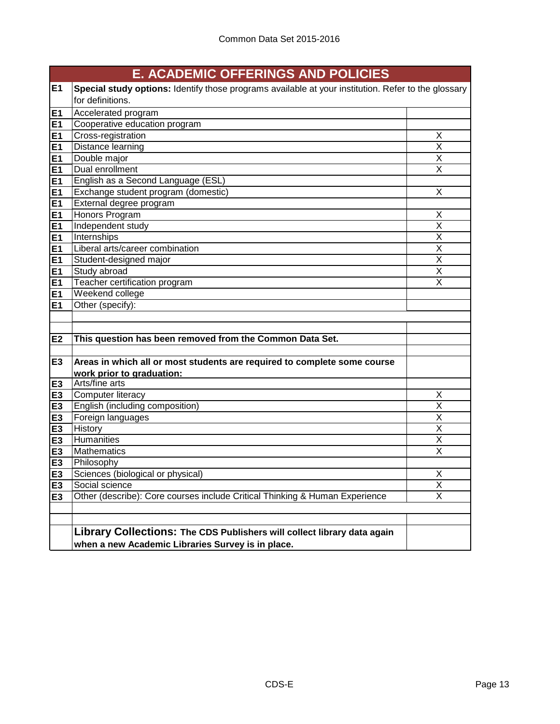|                | <b>E. ACADEMIC OFFERINGS AND POLICIES</b>                                                           |                         |  |  |
|----------------|-----------------------------------------------------------------------------------------------------|-------------------------|--|--|
| E1             | Special study options: Identify those programs available at your institution. Refer to the glossary |                         |  |  |
|                | for definitions.                                                                                    |                         |  |  |
| E1             | Accelerated program                                                                                 |                         |  |  |
| E1             | Cooperative education program                                                                       |                         |  |  |
| E1             | Cross-registration                                                                                  | X                       |  |  |
| E1             | Distance learning                                                                                   | X                       |  |  |
| E1             | Double major                                                                                        | X                       |  |  |
| E1             | Dual enrollment                                                                                     | X                       |  |  |
| E1             | English as a Second Language (ESL)                                                                  |                         |  |  |
| <b>E1</b>      | Exchange student program (domestic)                                                                 | X                       |  |  |
| E1             | External degree program                                                                             |                         |  |  |
| E1             | Honors Program                                                                                      | X                       |  |  |
| E1             | Independent study                                                                                   | $\overline{\mathsf{x}}$ |  |  |
| E <sub>1</sub> | Internships                                                                                         | $\overline{\mathsf{X}}$ |  |  |
| E1             | Liberal arts/career combination                                                                     | $\overline{\mathsf{x}}$ |  |  |
| E1             | Student-designed major                                                                              | $\overline{\mathsf{x}}$ |  |  |
| E <sub>1</sub> | Study abroad                                                                                        | $\overline{\mathsf{x}}$ |  |  |
| E1             | Teacher certification program                                                                       | $\overline{\mathsf{x}}$ |  |  |
| E1             | Weekend college                                                                                     |                         |  |  |
| <b>E1</b>      | Other (specify):                                                                                    |                         |  |  |
|                |                                                                                                     |                         |  |  |
|                |                                                                                                     |                         |  |  |
| E2             | This question has been removed from the Common Data Set.                                            |                         |  |  |
|                |                                                                                                     |                         |  |  |
| E <sub>3</sub> | Areas in which all or most students are required to complete some course                            |                         |  |  |
|                | work prior to graduation:                                                                           |                         |  |  |
| E <sub>3</sub> | Arts/fine arts                                                                                      |                         |  |  |
| E <sub>3</sub> | Computer literacy                                                                                   | X                       |  |  |
| E <sub>3</sub> | English (including composition)                                                                     | $\overline{X}$          |  |  |
| E <sub>3</sub> | Foreign languages                                                                                   | X                       |  |  |
| E <sub>3</sub> | History                                                                                             | X                       |  |  |
| E <sub>3</sub> | Humanities                                                                                          | $\overline{\mathsf{x}}$ |  |  |
| E <sub>3</sub> | <b>Mathematics</b>                                                                                  | $\overline{\mathsf{x}}$ |  |  |
| E <sub>3</sub> | Philosophy                                                                                          |                         |  |  |
| E3             | Sciences (biological or physical)                                                                   | X                       |  |  |
| E <sub>3</sub> | Social science                                                                                      | Χ                       |  |  |
| E <sub>3</sub> | Other (describe): Core courses include Critical Thinking & Human Experience                         | $\overline{X}$          |  |  |
|                |                                                                                                     |                         |  |  |
|                |                                                                                                     |                         |  |  |
|                | Library Collections: The CDS Publishers will collect library data again                             |                         |  |  |
|                | when a new Academic Libraries Survey is in place.                                                   |                         |  |  |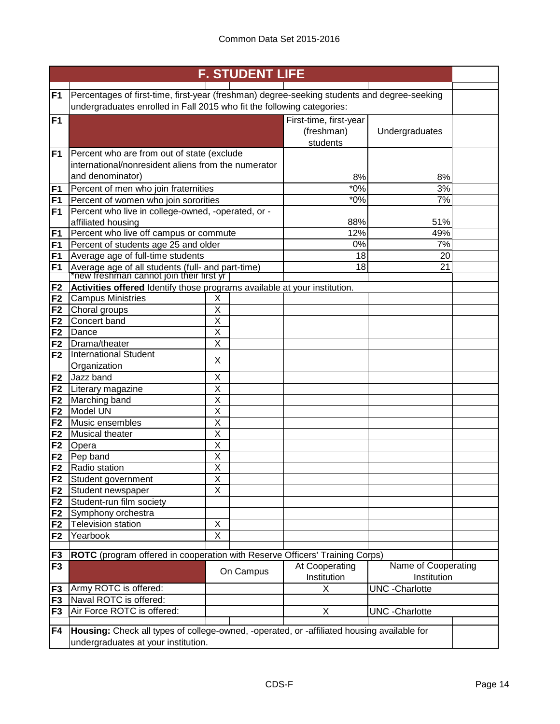| <b>F. STUDENT LIFE</b> |                                                                                               |                              |           |                        |                        |  |
|------------------------|-----------------------------------------------------------------------------------------------|------------------------------|-----------|------------------------|------------------------|--|
| F <sub>1</sub>         | Percentages of first-time, first-year (freshman) degree-seeking students and degree-seeking   |                              |           |                        |                        |  |
|                        | undergraduates enrolled in Fall 2015 who fit the following categories:                        |                              |           |                        |                        |  |
| F <sub>1</sub>         |                                                                                               |                              |           | First-time, first-year |                        |  |
|                        |                                                                                               |                              |           | (freshman)             | Undergraduates         |  |
|                        |                                                                                               |                              |           | students               |                        |  |
| F <sub>1</sub>         | Percent who are from out of state (exclude                                                    |                              |           |                        |                        |  |
|                        | international/nonresident aliens from the numerator                                           |                              |           |                        |                        |  |
|                        | and denominator)                                                                              |                              |           | 8%                     | 8%                     |  |
| F <sub>1</sub>         | Percent of men who join fraternities                                                          |                              |           | $*0\%$<br>$*0\%$       | 3%<br>$\overline{7\%}$ |  |
| F <sub>1</sub><br>F1   | Percent of women who join sororities<br>Percent who live in college-owned, -operated, or -    |                              |           |                        |                        |  |
|                        | affiliated housing                                                                            |                              |           | 88%                    | 51%                    |  |
| F <sub>1</sub>         | Percent who live off campus or commute                                                        |                              |           | 12%                    | 49%                    |  |
| F1                     | Percent of students age 25 and older                                                          |                              |           | 0%                     | 7%                     |  |
| F1                     | Average age of full-time students                                                             |                              |           | 18                     | 20                     |  |
| F <sub>1</sub>         | Average age of all students (full- and part-time)<br>Thew freshman cannot join their first yr |                              |           | 18                     | 21                     |  |
|                        |                                                                                               |                              |           |                        |                        |  |
| F <sub>2</sub>         | Activities offered Identify those programs available at your institution.                     |                              |           |                        |                        |  |
| F <sub>2</sub>         | <b>Campus Ministries</b>                                                                      | Χ                            |           |                        |                        |  |
| F <sub>2</sub>         | Choral groups<br>Concert band                                                                 | Χ<br>$\overline{\mathsf{x}}$ |           |                        |                        |  |
| F <sub>2</sub><br>F2   | Dance                                                                                         | $\overline{\mathsf{X}}$      |           |                        |                        |  |
| F <sub>2</sub>         | Drama/theater                                                                                 | X                            |           |                        |                        |  |
| F <sub>2</sub>         | <b>International Student</b>                                                                  |                              |           |                        |                        |  |
|                        | Organization                                                                                  | X                            |           |                        |                        |  |
| F <sub>2</sub>         | Jazz band                                                                                     | Χ                            |           |                        |                        |  |
| F <sub>2</sub>         | Literary magazine                                                                             | X                            |           |                        |                        |  |
| F <sub>2</sub>         | Marching band                                                                                 | X                            |           |                        |                        |  |
| F <sub>2</sub>         | Model UN                                                                                      | X                            |           |                        |                        |  |
| F <sub>2</sub>         | Music ensembles                                                                               | X                            |           |                        |                        |  |
| F <sub>2</sub>         | Musical theater                                                                               | X                            |           |                        |                        |  |
| F <sub>2</sub>         | Opera                                                                                         | X                            |           |                        |                        |  |
| F <sub>2</sub>         | Pep band                                                                                      | X                            |           |                        |                        |  |
| F <sub>2</sub>         | Radio station                                                                                 | Χ                            |           |                        |                        |  |
| F <sub>2</sub>         | Student government                                                                            | Χ                            |           |                        |                        |  |
| F <sub>2</sub>         | Student newspaper<br>Student-run film society                                                 | Χ                            |           |                        |                        |  |
| F <sub>2</sub><br>F2   | Symphony orchestra                                                                            |                              |           |                        |                        |  |
| F2                     | <b>Television station</b>                                                                     | Χ                            |           |                        |                        |  |
| F <sub>2</sub>         | Yearbook                                                                                      | Χ                            |           |                        |                        |  |
|                        |                                                                                               |                              |           |                        |                        |  |
| F <sub>3</sub>         | ROTC (program offered in cooperation with Reserve Officers' Training Corps)                   |                              |           |                        |                        |  |
| F <sub>3</sub>         |                                                                                               |                              | On Campus | At Cooperating         | Name of Cooperating    |  |
|                        |                                                                                               |                              |           | Institution            | Institution            |  |
| F <sub>3</sub>         | Army ROTC is offered:                                                                         |                              |           | X                      | <b>UNC</b> - Charlotte |  |
| F <sub>3</sub>         | Naval ROTC is offered:<br>Air Force ROTC is offered:                                          |                              |           |                        |                        |  |
| F <sub>3</sub>         |                                                                                               |                              |           | X                      | <b>UNC</b> - Charlotte |  |
| F4                     | Housing: Check all types of college-owned, -operated, or -affiliated housing available for    |                              |           |                        |                        |  |
|                        | undergraduates at your institution.                                                           |                              |           |                        |                        |  |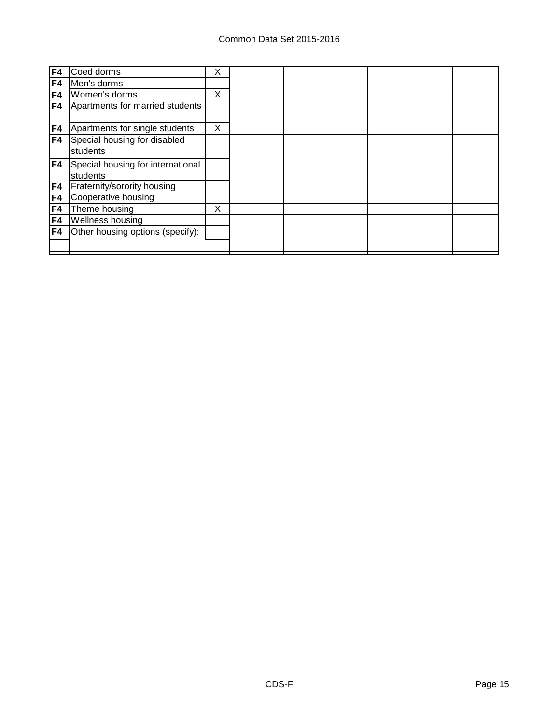| F4  | Coed dorms                                    | X |  |  |
|-----|-----------------------------------------------|---|--|--|
| F4  | Men's dorms                                   |   |  |  |
| F4  | Women's dorms                                 | X |  |  |
| F4  | Apartments for married students               |   |  |  |
| F4  | Apartments for single students                | X |  |  |
| F4  | Special housing for disabled<br>students      |   |  |  |
| F4  | Special housing for international<br>students |   |  |  |
| F4  | Fraternity/sorority housing                   |   |  |  |
| F4  | Cooperative housing                           |   |  |  |
| F4  | Theme housing                                 | X |  |  |
| F4  | Wellness housing                              |   |  |  |
| IF4 | Other housing options (specify):              |   |  |  |
|     |                                               |   |  |  |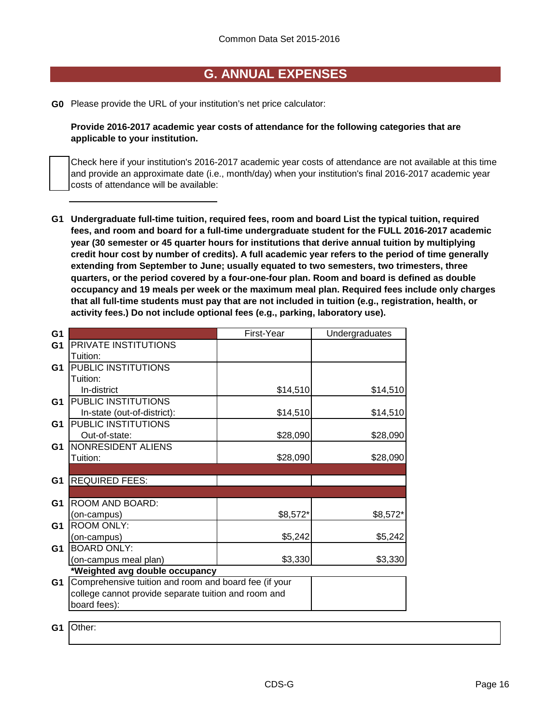### **G. ANNUAL EXPENSES**

**G0** Please provide the URL of your institution's net price calculator:

**Provide 2016-2017 academic year costs of attendance for the following categories that are applicable to your institution.**

Check here if your institution's 2016-2017 academic year costs of attendance are not available at this time and provide an approximate date (i.e., month/day) when your institution's final 2016-2017 academic year costs of attendance will be available:

**G1 Undergraduate full-time tuition, required fees, room and board List the typical tuition, required fees, and room and board for a full-time undergraduate student for the FULL 2016-2017 academic year (30 semester or 45 quarter hours for institutions that derive annual tuition by multiplying credit hour cost by number of credits). A full academic year refers to the period of time generally extending from September to June; usually equated to two semesters, two trimesters, three quarters, or the period covered by a four-one-four plan. Room and board is defined as double occupancy and 19 meals per week or the maximum meal plan. Required fees include only charges that all full-time students must pay that are not included in tuition (e.g., registration, health, or activity fees.) Do not include optional fees (e.g., parking, laboratory use).**

| G <sub>1</sub> |                                                       | First-Year | Undergraduates |
|----------------|-------------------------------------------------------|------------|----------------|
| G <sub>1</sub> | PRIVATE INSTITUTIONS                                  |            |                |
|                | Tuition:                                              |            |                |
| G <sub>1</sub> | PUBLIC INSTITUTIONS                                   |            |                |
|                | Tuition:                                              |            |                |
|                | In-district                                           | \$14,510   | \$14,510       |
| G <sub>1</sub> | PUBLIC INSTITUTIONS                                   |            |                |
|                | In-state (out-of-district):                           | \$14,510   | \$14,510       |
| G <sub>1</sub> | PUBLIC INSTITUTIONS                                   |            |                |
|                | Out-of-state:                                         | \$28,090   | \$28,090       |
| G <sub>1</sub> | NONRESIDENT ALIENS                                    |            |                |
|                | Tuition:                                              | \$28,090   | \$28,090       |
|                |                                                       |            |                |
| G <sub>1</sub> | <b>REQUIRED FEES:</b>                                 |            |                |
|                |                                                       |            |                |
| G <sub>1</sub> | ROOM AND BOARD:                                       |            |                |
|                | (on-campus)                                           | \$8,572*   | \$8,572*       |
| G <sub>1</sub> | <b>ROOM ONLY:</b>                                     |            |                |
|                | (on-campus)                                           | \$5,242    | \$5,242        |
| G <sub>1</sub> | <b>BOARD ONLY:</b>                                    |            |                |
|                | (on-campus meal plan)                                 | \$3,330    | \$3,330        |
|                | *Weighted avg double occupancy                        |            |                |
| G <sub>1</sub> | Comprehensive tuition and room and board fee (if your |            |                |
|                | college cannot provide separate tuition and room and  |            |                |
|                | board fees):                                          |            |                |
|                |                                                       |            |                |

**G1** Other: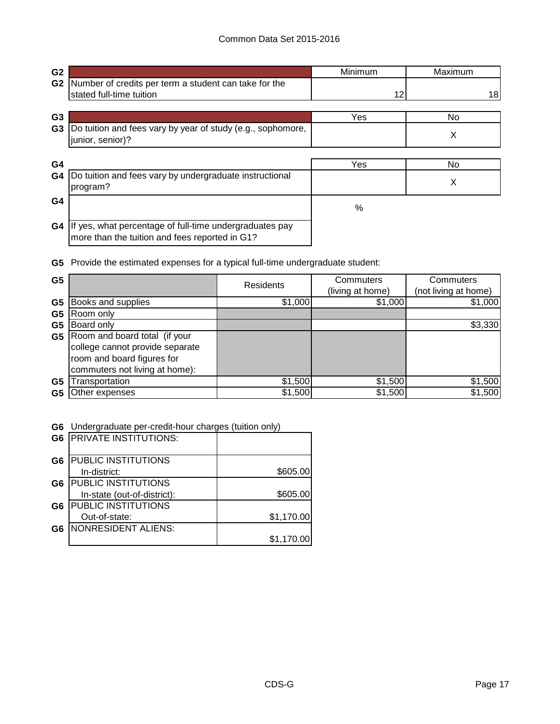| G <sub>2</sub> |                                                                                                           | Minimum | Maximum |
|----------------|-----------------------------------------------------------------------------------------------------------|---------|---------|
| G <sub>2</sub> | Number of credits per term a student can take for the<br>stated full-time tuition                         | 12      | 18      |
| G <sub>3</sub> |                                                                                                           | Yes     | No.     |
| G <sub>3</sub> | Do tuition and fees vary by year of study (e.g., sophomore,<br>junior, senior)?                           |         | X       |
| G4             |                                                                                                           | Yes     | No      |
| G4             | Do tuition and fees vary by undergraduate instructional<br>program?                                       |         | X       |
| G <sub>4</sub> |                                                                                                           | %       |         |
| G4             | If yes, what percentage of full-time undergraduates pay<br>more than the tuition and fees reported in G1? |         |         |

**G5** Provide the estimated expenses for a typical full-time undergraduate student:

| G <sub>5</sub> |                                                                                                                                  | <b>Residents</b> | Commuters<br>(living at home) | Commuters<br>(not living at home) |
|----------------|----------------------------------------------------------------------------------------------------------------------------------|------------------|-------------------------------|-----------------------------------|
| G <sub>5</sub> | Books and supplies                                                                                                               | \$1,000          | \$1,000                       | \$1,000                           |
| G <sub>5</sub> | Room only                                                                                                                        |                  |                               |                                   |
| G <sub>5</sub> | Board only                                                                                                                       |                  |                               | \$3,330                           |
| G5             | Room and board total (if your<br>college cannot provide separate<br>room and board figures for<br>commuters not living at home): |                  |                               |                                   |
| G <sub>5</sub> | Transportation                                                                                                                   | \$1,500          | \$1,500                       | \$1,500                           |
| G5             | Other expenses                                                                                                                   | \$1,500          | \$1,500                       | \$1,500                           |

**G6** Undergraduate per-credit-hour charges (tuition only)

| G <sub>6</sub> | <b>PRIVATE INSTITUTIONS:</b> |            |
|----------------|------------------------------|------------|
| G <sub>6</sub> | <b>PUBLIC INSTITUTIONS</b>   |            |
|                | In-district:                 | \$605.00   |
| G6             | <b>PUBLIC INSTITUTIONS</b>   |            |
|                | In-state (out-of-district):  | \$605.00   |
| G <sub>6</sub> | <b>PUBLIC INSTITUTIONS</b>   |            |
|                | Out-of-state:                | \$1,170.00 |
| G <sub>6</sub> | NONRESIDENT ALIENS:          |            |
|                |                              | \$1,170.00 |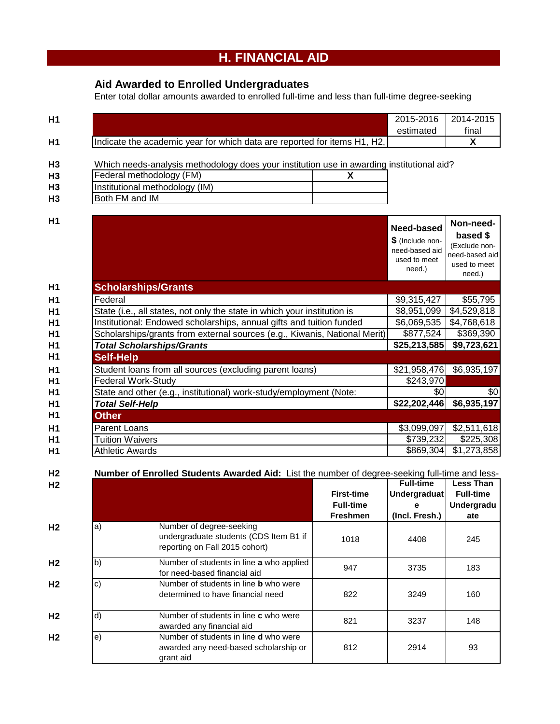# **H. FINANCIAL AID**

## **Aid Awarded to Enrolled Undergraduates**

Enter total dollar amounts awarded to enrolled full-time and less than full-time degree-seeking

| H <sub>1</sub> |                                                                                           | 2015-2016                                                                  | 2014-2015                                                                          |
|----------------|-------------------------------------------------------------------------------------------|----------------------------------------------------------------------------|------------------------------------------------------------------------------------|
|                |                                                                                           | estimated                                                                  | final                                                                              |
| H1             | Indicate the academic year for which data are reported for items H1, H2,                  |                                                                            | X                                                                                  |
| H <sub>3</sub> | Which needs-analysis methodology does your institution use in awarding institutional aid? |                                                                            |                                                                                    |
| H <sub>3</sub> | Federal methodology (FM)<br>X                                                             |                                                                            |                                                                                    |
| H <sub>3</sub> | Institutional methodology (IM)                                                            |                                                                            |                                                                                    |
| H <sub>3</sub> | Both FM and IM                                                                            |                                                                            |                                                                                    |
|                |                                                                                           |                                                                            |                                                                                    |
| H1             |                                                                                           | Need-based<br>\$ (Include non-<br>need-based aid<br>used to meet<br>need.) | Non-need-<br>based \$<br>(Exclude non-<br>need-based aid<br>used to meet<br>need.) |
| H1             | <b>Scholarships/Grants</b>                                                                |                                                                            |                                                                                    |
| H1             | Federal                                                                                   | \$9,315,427                                                                | \$55,795                                                                           |
| H1             | State (i.e., all states, not only the state in which your institution is                  | \$8,951,099                                                                | \$4,529,818                                                                        |
| H1             | Institutional: Endowed scholarships, annual gifts and tuition funded                      | \$6,069,535                                                                | \$4,768,618                                                                        |
| H1             | Scholarships/grants from external sources (e.g., Kiwanis, National Merit)                 | \$877,524                                                                  | \$369,390                                                                          |
| H1             | <b>Total Scholarships/Grants</b>                                                          | \$25,213,585                                                               | \$9,723,621                                                                        |
| H1             | <b>Self-Help</b>                                                                          |                                                                            |                                                                                    |
| H <sub>1</sub> | Student loans from all sources (excluding parent loans)                                   | \$21,958,476                                                               | \$6,935,197                                                                        |
| H <sub>1</sub> | <b>Federal Work-Study</b>                                                                 | \$243,970                                                                  |                                                                                    |
| H1             | State and other (e.g., institutional) work-study/employment (Note:                        | \$0                                                                        | \$0                                                                                |
| H1             | <b>Total Self-Help</b>                                                                    | \$22,202,446                                                               | \$6,935,197                                                                        |
| H <sub>1</sub> | <b>Other</b>                                                                              |                                                                            |                                                                                    |
| H1             | <b>Parent Loans</b>                                                                       | \$3,099,097                                                                | \$2,511,618                                                                        |
| Η1             | <b>Tuition Waivers</b>                                                                    | \$739,232                                                                  | \$225,308                                                                          |

| H <sub>2</sub> |              | Number of Enrolled Students Awarded Aid: List the number of degree-seeking full-time and less-       |                   |                     |                  |
|----------------|--------------|------------------------------------------------------------------------------------------------------|-------------------|---------------------|------------------|
| H <sub>2</sub> |              |                                                                                                      |                   | <b>Full-time</b>    | <b>Less Than</b> |
|                |              |                                                                                                      | <b>First-time</b> | <b>Undergraduat</b> | <b>Full-time</b> |
|                |              |                                                                                                      | <b>Full-time</b>  |                     | Undergradu       |
|                |              |                                                                                                      | <b>Freshmen</b>   | (Incl. Fresh.)      | ate              |
| H <sub>2</sub> | a)           | Number of degree-seeking<br>undergraduate students (CDS Item B1 if<br>reporting on Fall 2015 cohort) | 1018              | 4408                | 245              |
| H <sub>2</sub> | $\mathsf{b}$ | Number of students in line a who applied<br>for need-based financial aid                             | 947               | 3735                | 183              |
| H <sub>2</sub> | C)           | Number of students in line <b>b</b> who were<br>determined to have financial need                    | 822               | 3249                | 160              |
| H <sub>2</sub> | $\mathsf{d}$ | Number of students in line <b>c</b> who were<br>awarded any financial aid                            | 821               | 3237                | 148              |
| H <sub>2</sub> | le)          | Number of students in line <b>d</b> who were<br>awarded any need-based scholarship or<br>grant aid   | 812               | 2914                | 93               |

**H1** Athletic Awards **1988 1.273,858** 

Athletic Awards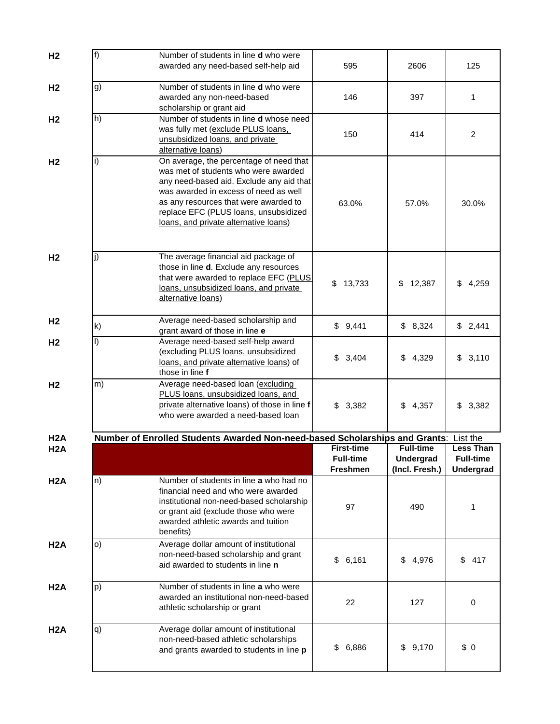| H <sub>2</sub>   | f) | Number of students in line <b>d</b> who were<br>awarded any need-based self-help aid                                                                                                                                                                                                            | 595                                   | 2606                                 | 125                                  |
|------------------|----|-------------------------------------------------------------------------------------------------------------------------------------------------------------------------------------------------------------------------------------------------------------------------------------------------|---------------------------------------|--------------------------------------|--------------------------------------|
| H <sub>2</sub>   | g) | Number of students in line <b>d</b> who were<br>awarded any non-need-based<br>scholarship or grant aid                                                                                                                                                                                          | 146                                   | 397                                  | 1                                    |
| H <sub>2</sub>   | h) | Number of students in line d whose need<br>was fully met (exclude PLUS loans,<br>unsubsidized loans, and private<br>alternative loans)                                                                                                                                                          | 150                                   | 414                                  | $\overline{c}$                       |
| H <sub>2</sub>   | i) | On average, the percentage of need that<br>was met of students who were awarded<br>any need-based aid. Exclude any aid that<br>was awarded in excess of need as well<br>as any resources that were awarded to<br>replace EFC (PLUS loans, unsubsidized<br>loans, and private alternative loans) | 63.0%                                 | 57.0%                                | 30.0%                                |
| H <sub>2</sub>   | I) | The average financial aid package of<br>those in line <b>d</b> . Exclude any resources<br>that were awarded to replace EFC (PLUS<br>loans, unsubsidized loans, and private<br>alternative loans)                                                                                                | \$<br>13,733                          | \$<br>12,387                         | 4,259<br>\$                          |
| H <sub>2</sub>   | k) | Average need-based scholarship and<br>grant award of those in line e                                                                                                                                                                                                                            | \$9,441                               | \$8,324                              | \$2,441                              |
| H <sub>2</sub>   | I) | Average need-based self-help award<br>(excluding PLUS loans, unsubsidized<br>loans, and private alternative loans) of<br>those in line f                                                                                                                                                        | \$<br>3,404                           | 4,329<br>\$                          | \$3,110                              |
| H <sub>2</sub>   | m) | Average need-based loan (excluding<br>PLUS loans, unsubsidized loans, and<br>private alternative loans) of those in line f<br>who were awarded a need-based loan                                                                                                                                | \$3,382                               | 4,357<br>\$                          | 3,382<br>\$                          |
| H <sub>2</sub> A |    | Number of Enrolled Students Awarded Non-need-based Scholarships and Grants: List the                                                                                                                                                                                                            |                                       |                                      |                                      |
| H <sub>2</sub> A |    |                                                                                                                                                                                                                                                                                                 | <b>First-time</b><br><b>Full-time</b> | <b>Full-time</b><br><b>Undergrad</b> | <b>Less Than</b><br><b>Full-time</b> |
|                  |    |                                                                                                                                                                                                                                                                                                 | <b>Freshmen</b>                       | (Incl. Fresh.)                       | Undergrad                            |
| H <sub>2</sub> A | n) | Number of students in line a who had no<br>financial need and who were awarded<br>institutional non-need-based scholarship<br>or grant aid (exclude those who were<br>awarded athletic awards and tuition<br>benefits)                                                                          | 97                                    | 490                                  | 1                                    |
| H2A              | O) | Average dollar amount of institutional<br>non-need-based scholarship and grant<br>aid awarded to students in line n                                                                                                                                                                             | \$6,161                               | 4,976<br>\$                          | \$<br>417                            |
| H <sub>2</sub> A | p) | Number of students in line a who were<br>awarded an institutional non-need-based<br>athletic scholarship or grant                                                                                                                                                                               | 22                                    | 127                                  | 0                                    |
| H <sub>2</sub> A | q) | Average dollar amount of institutional<br>non-need-based athletic scholarships<br>and grants awarded to students in line p                                                                                                                                                                      | 6,886<br>\$                           | 9,170<br>\$                          | \$0                                  |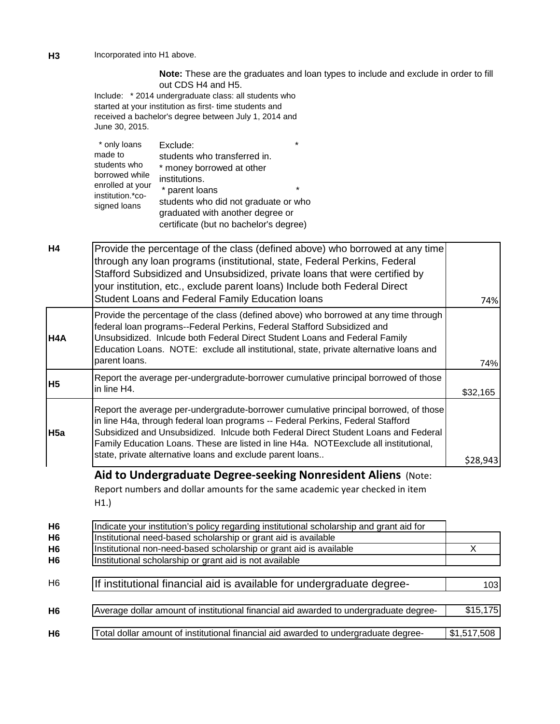**H3** Incorporated into H1 above.

**Note:** These are the graduates and loan types to include and exclude in order to fill out CDS H4 and H5.

Include: \* 2014 undergraduate class: all students who started at your institution as first- time students and received a bachelor's degree between July 1, 2014 and June 30, 2015.

| Exclude:                                               |         |
|--------------------------------------------------------|---------|
| made to<br>students who transferred in.                |         |
| students who<br>* money borrowed at other              |         |
| borrowed while<br>institutions.                        |         |
| enrolled at your<br>* parent loans<br>institution.*co- | $\star$ |
| students who did not graduate or who<br>signed loans   |         |
| graduated with another degree or                       |         |
| certificate (but no bachelor's degree)                 |         |

| H <sub>4</sub> | Provide the percentage of the class (defined above) who borrowed at any time                                                                                                                                                                                                                                                                                                                                        |          |
|----------------|---------------------------------------------------------------------------------------------------------------------------------------------------------------------------------------------------------------------------------------------------------------------------------------------------------------------------------------------------------------------------------------------------------------------|----------|
|                | through any loan programs (institutional, state, Federal Perkins, Federal<br>Stafford Subsidized and Unsubsidized, private loans that were certified by<br>your institution, etc., exclude parent loans) Include both Federal Direct<br>Student Loans and Federal Family Education loans                                                                                                                            | 74%      |
| H4A            | Provide the percentage of the class (defined above) who borrowed at any time through<br>federal loan programs--Federal Perkins, Federal Stafford Subsidized and<br>Unsubsidized. Inlcude both Federal Direct Student Loans and Federal Family<br>Education Loans. NOTE: exclude all institutional, state, private alternative loans and<br>parent loans.                                                            | 74%      |
| <b>H5</b>      | Report the average per-undergradute-borrower cumulative principal borrowed of those<br>in line H4.                                                                                                                                                                                                                                                                                                                  | \$32,165 |
| H5a            | Report the average per-undergradute-borrower cumulative principal borrowed, of those<br>in line H4a, through federal loan programs -- Federal Perkins, Federal Stafford<br>Subsidized and Unsubsidized. Inlcude both Federal Direct Student Loans and Federal<br>Family Education Loans. These are listed in line H4a. NOTE exclude all institutional,<br>state, private alternative loans and exclude parent loans | \$28,943 |

## **Aid to Undergraduate Degree-seeking Nonresident Aliens** (Note:

Report numbers and dollar amounts for the same academic year checked in item H1.)

| H <sub>6</sub> | Indicate your institution's policy regarding institutional scholarship and grant aid for |             |
|----------------|------------------------------------------------------------------------------------------|-------------|
| H <sub>6</sub> | Institutional need-based scholarship or grant aid is available                           |             |
| H <sub>6</sub> | Institutional non-need-based scholarship or grant aid is available                       | х           |
| H6             | Institutional scholarship or grant aid is not available                                  |             |
|                |                                                                                          |             |
| H <sub>6</sub> | If institutional financial aid is available for undergraduate degree-                    | 103I        |
|                |                                                                                          |             |
| H <sub>6</sub> | Average dollar amount of institutional financial aid awarded to undergraduate degree-    | \$15, 175   |
|                |                                                                                          |             |
| H <sub>6</sub> | Total dollar amount of institutional financial aid awarded to undergraduate degree-      | \$1,517,508 |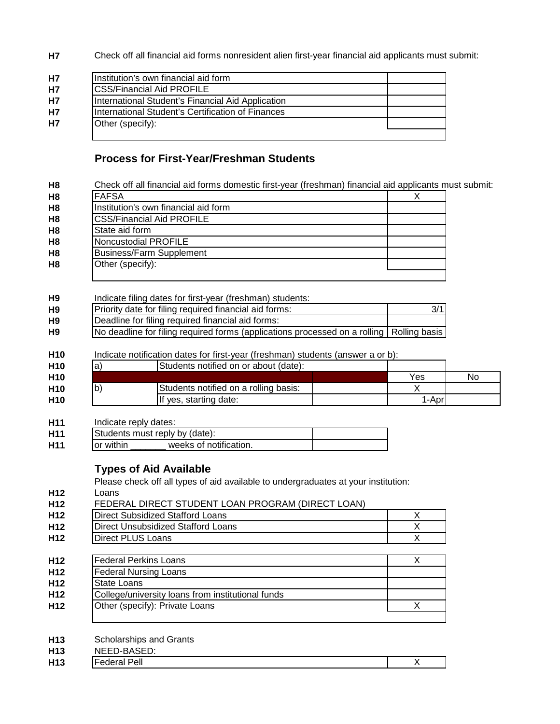**H7** Check off all financial aid forms nonresident alien first-year financial aid applicants must submit:

| H7        | Institution's own financial aid form              |  |
|-----------|---------------------------------------------------|--|
| H7        | <b>CSS/Financial Aid PROFILE</b>                  |  |
| <b>H7</b> | International Student's Financial Aid Application |  |
| H7        | International Student's Certification of Finances |  |
| H7        | Other (specify):                                  |  |
|           |                                                   |  |

### **Process for First-Year/Freshman Students**

|                                          | Check off all financial aid forms domestic first-year (freshman) financial aid applicants must submit: |                         |
|------------------------------------------|--------------------------------------------------------------------------------------------------------|-------------------------|
| <b>FAFSA</b>                             | X                                                                                                      |                         |
| Institution's own financial aid form     |                                                                                                        |                         |
|                                          | <b>CSS/Financial Aid PROFILE</b>                                                                       |                         |
| State aid form                           |                                                                                                        |                         |
|                                          | Noncustodial PROFILE                                                                                   |                         |
|                                          | <b>Business/Farm Supplement</b>                                                                        |                         |
| Other (specify):                         |                                                                                                        |                         |
|                                          | Indicate filing dates for first-year (freshman) students:                                              |                         |
|                                          | Priority date for filing required financial aid forms:                                                 | 3/1                     |
|                                          | Deadline for filing required financial aid forms:                                                      |                         |
|                                          | No deadline for filing required forms (applications processed on a rolling   Rolling basis             |                         |
|                                          |                                                                                                        |                         |
|                                          | Indicate notification dates for first-year (freshman) students (answer a or b):                        |                         |
| $ a\rangle$                              | Students notified on or about (date):                                                                  |                         |
|                                          |                                                                                                        | Yes                     |
| $\mathsf{b}$                             | Students notified on a rolling basis:                                                                  | X                       |
|                                          |                                                                                                        |                         |
|                                          | If yes, starting date:                                                                                 | 1-Apr                   |
|                                          | Indicate reply dates:<br>Students must reply by (date):                                                |                         |
|                                          | weeks of notification.                                                                                 |                         |
|                                          |                                                                                                        |                         |
|                                          | <b>Types of Aid Available</b>                                                                          |                         |
|                                          | Please check off all types of aid available to undergraduates at your institution:                     |                         |
|                                          |                                                                                                        |                         |
|                                          | FEDERAL DIRECT STUDENT LOAN PROGRAM (DIRECT LOAN)                                                      |                         |
|                                          | <b>Direct Subsidized Stafford Loans</b>                                                                | X                       |
|                                          | <b>Direct Unsubsidized Stafford Loans</b>                                                              | X                       |
|                                          | <b>Direct PLUS Loans</b>                                                                               | $\overline{X}$          |
|                                          |                                                                                                        |                         |
|                                          | <b>Federal Perkins Loans</b>                                                                           | X                       |
|                                          | <b>Federal Nursing Loans</b>                                                                           |                         |
|                                          |                                                                                                        |                         |
| or within<br>Loans<br><b>State Loans</b> | College/university loans from institutional funds<br>Other (specify): Private Loans                    | $\overline{\mathsf{x}}$ |

**H13** X

Federal Pell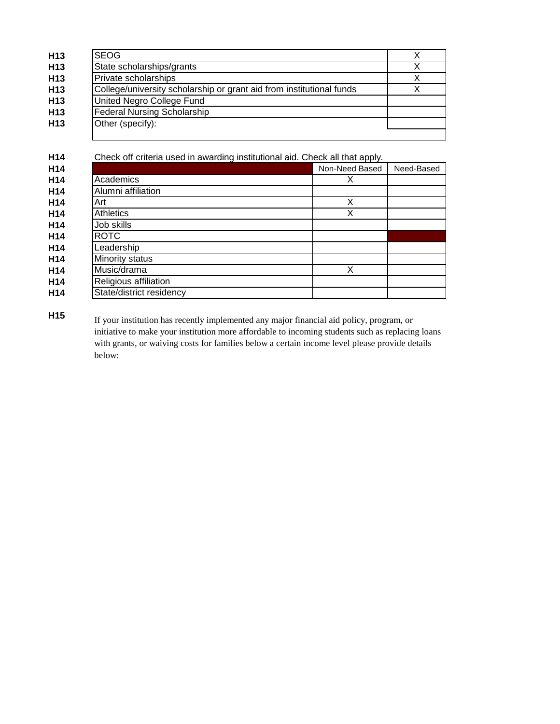| H <sub>13</sub> | <b>SEOG</b>                                                          |  |
|-----------------|----------------------------------------------------------------------|--|
| H <sub>13</sub> | State scholarships/grants                                            |  |
| H <sub>13</sub> | Private scholarships                                                 |  |
| H <sub>13</sub> | College/university scholarship or grant aid from institutional funds |  |
| H <sub>13</sub> | United Negro College Fund                                            |  |
| H <sub>13</sub> | <b>Federal Nursing Scholarship</b>                                   |  |
| H <sub>13</sub> | Other (specify):                                                     |  |
|                 |                                                                      |  |

**H14 H14** Academics **Non-Need Based Need-Based** Need-Based Need-Based Need-Based Need-Based Need-Based Need-Based Need-Based Need-Based Need-Based Need-Based Need-Based Need-Based Need-Based Need-Based Need-Based Need-Based Ne **H14** Academics X **H14 H14** Art X **H14** Athletics X **H14 H14 H14 H14 H14** X Music/drama **H14 H14** Check off criteria used in awarding institutional aid. Check all that apply. Alumni affiliation Art **Athletics** State/district residency Job skills ROTC **Leadership** Minority status Religious affiliation

**H15** If your institution has recently implemented any major financial aid policy, program, or initiative to make your institution more affordable to incoming students such as replacing loans with grants, or waiving costs for families below a certain income level please provide details below: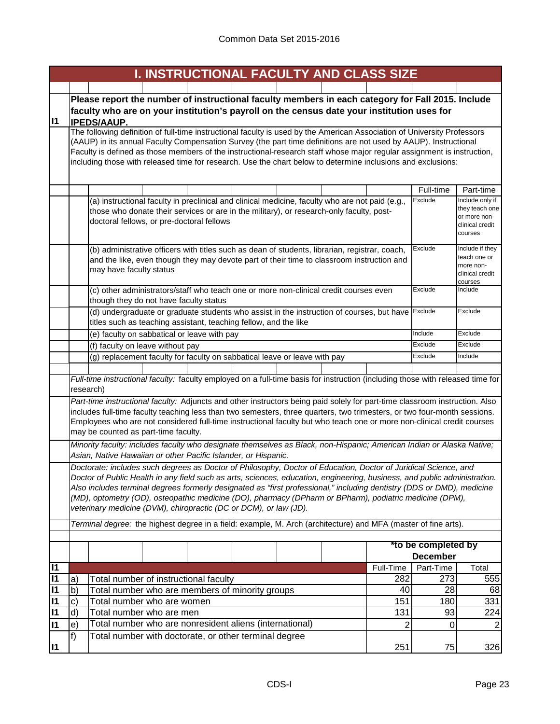|              | I. INSTRUCTIONAL FACULTY AND CLASS SIZE                                                                                                                                                                                                            |                  |                              |                                   |  |  |  |  |
|--------------|----------------------------------------------------------------------------------------------------------------------------------------------------------------------------------------------------------------------------------------------------|------------------|------------------------------|-----------------------------------|--|--|--|--|
|              |                                                                                                                                                                                                                                                    |                  |                              |                                   |  |  |  |  |
|              | Please report the number of instructional faculty members in each category for Fall 2015. Include                                                                                                                                                  |                  |                              |                                   |  |  |  |  |
|              | faculty who are on your institution's payroll on the census date your institution uses for                                                                                                                                                         |                  |                              |                                   |  |  |  |  |
| 11           | <b>IPEDS/AAUP.</b>                                                                                                                                                                                                                                 |                  |                              |                                   |  |  |  |  |
|              | The following definition of full-time instructional faculty is used by the American Association of University Professors                                                                                                                           |                  |                              |                                   |  |  |  |  |
|              | (AAUP) in its annual Faculty Compensation Survey (the part time definitions are not used by AAUP). Instructional                                                                                                                                   |                  |                              |                                   |  |  |  |  |
|              | Faculty is defined as those members of the instructional-research staff whose major regular assignment is instruction,<br>including those with released time for research. Use the chart below to determine inclusions and exclusions:             |                  |                              |                                   |  |  |  |  |
|              |                                                                                                                                                                                                                                                    |                  |                              |                                   |  |  |  |  |
|              |                                                                                                                                                                                                                                                    |                  |                              |                                   |  |  |  |  |
|              |                                                                                                                                                                                                                                                    |                  | Full-time                    | Part-time                         |  |  |  |  |
|              | (a) instructional faculty in preclinical and clinical medicine, faculty who are not paid (e.g.,                                                                                                                                                    |                  | Exclude                      | Include only if<br>they teach one |  |  |  |  |
|              | those who donate their services or are in the military), or research-only faculty, post-<br>doctoral fellows, or pre-doctoral fellows                                                                                                              |                  |                              | or more non-                      |  |  |  |  |
|              |                                                                                                                                                                                                                                                    |                  |                              | clinical credit<br>courses        |  |  |  |  |
|              |                                                                                                                                                                                                                                                    |                  |                              |                                   |  |  |  |  |
|              | (b) administrative officers with titles such as dean of students, librarian, registrar, coach,                                                                                                                                                     |                  | Exclude                      | Include if they<br>teach one or   |  |  |  |  |
|              | and the like, even though they may devote part of their time to classroom instruction and                                                                                                                                                          |                  |                              | more non-                         |  |  |  |  |
|              | may have faculty status                                                                                                                                                                                                                            |                  |                              | clinical credit                   |  |  |  |  |
|              | (c) other administrators/staff who teach one or more non-clinical credit courses even                                                                                                                                                              |                  | Exclude                      | courses<br>Include                |  |  |  |  |
|              | though they do not have faculty status                                                                                                                                                                                                             |                  |                              |                                   |  |  |  |  |
|              | (d) undergraduate or graduate students who assist in the instruction of courses, but have Exclude                                                                                                                                                  |                  |                              | Exclude                           |  |  |  |  |
|              | titles such as teaching assistant, teaching fellow, and the like                                                                                                                                                                                   |                  |                              |                                   |  |  |  |  |
|              | (e) faculty on sabbatical or leave with pay                                                                                                                                                                                                        |                  | Include                      | Exclude                           |  |  |  |  |
|              | (f) faculty on leave without pay                                                                                                                                                                                                                   |                  | Exclude                      | Exclude                           |  |  |  |  |
|              | (g) replacement faculty for faculty on sabbatical leave or leave with pay                                                                                                                                                                          |                  | Exclude                      | Include                           |  |  |  |  |
|              |                                                                                                                                                                                                                                                    |                  |                              |                                   |  |  |  |  |
|              | Full-time instructional faculty: faculty employed on a full-time basis for instruction (including those with released time for                                                                                                                     |                  |                              |                                   |  |  |  |  |
|              | research)                                                                                                                                                                                                                                          |                  |                              |                                   |  |  |  |  |
|              | Part-time instructional faculty: Adjuncts and other instructors being paid solely for part-time classroom instruction. Also                                                                                                                        |                  |                              |                                   |  |  |  |  |
|              | includes full-time faculty teaching less than two semesters, three quarters, two trimesters, or two four-month sessions.<br>Employees who are not considered full-time instructional faculty but who teach one or more non-clinical credit courses |                  |                              |                                   |  |  |  |  |
|              | may be counted as part-time faculty.                                                                                                                                                                                                               |                  |                              |                                   |  |  |  |  |
|              | Minority faculty: includes faculty who designate themselves as Black, non-Hispanic; American Indian or Alaska Native;                                                                                                                              |                  |                              |                                   |  |  |  |  |
|              | Asian, Native Hawaiian or other Pacific Islander, or Hispanic.                                                                                                                                                                                     |                  |                              |                                   |  |  |  |  |
|              | Doctorate: includes such degrees as Doctor of Philosophy, Doctor of Education, Doctor of Juridical Science, and                                                                                                                                    |                  |                              |                                   |  |  |  |  |
|              | Doctor of Public Health in any field such as arts, sciences, education, engineering, business, and public administration.                                                                                                                          |                  |                              |                                   |  |  |  |  |
|              | Also includes terminal degrees formerly designated as "first professional," including dentistry (DDS or DMD), medicine                                                                                                                             |                  |                              |                                   |  |  |  |  |
|              | (MD), optometry (OD), osteopathic medicine (DO), pharmacy (DPharm or BPharm), podiatric medicine (DPM),                                                                                                                                            |                  |                              |                                   |  |  |  |  |
|              | veterinary medicine (DVM), chiropractic (DC or DCM), or law (JD).                                                                                                                                                                                  |                  |                              |                                   |  |  |  |  |
|              | Terminal degree: the highest degree in a field: example, M. Arch (architecture) and MFA (master of fine arts).                                                                                                                                     |                  |                              |                                   |  |  |  |  |
|              |                                                                                                                                                                                                                                                    |                  |                              |                                   |  |  |  |  |
|              | *to be completed by                                                                                                                                                                                                                                |                  |                              |                                   |  |  |  |  |
| $\mathsf{I}$ |                                                                                                                                                                                                                                                    |                  | <b>December</b><br>Part-Time |                                   |  |  |  |  |
| $\mathsf{I}$ | Total number of instructional faculty<br>$ {\rm a} \rangle$                                                                                                                                                                                        | Full-Time<br>282 | 273                          | Total<br>555                      |  |  |  |  |
| $\mathsf{I}$ | $\overline{a}$<br>Total number who are members of minority groups                                                                                                                                                                                  | 40               | 28                           | 68                                |  |  |  |  |
| $\mathsf{I}$ | $\mathsf{c})$<br>Total number who are women                                                                                                                                                                                                        | 151              | 180                          | 331                               |  |  |  |  |
| $\mathsf{I}$ | d)<br>Total number who are men                                                                                                                                                                                                                     | 131              | 93                           | 224                               |  |  |  |  |
| $\mathsf{I}$ | Total number who are nonresident aliens (international)<br>e)                                                                                                                                                                                      | 2                | 0                            | $\overline{2}$                    |  |  |  |  |
|              | f)<br>Total number with doctorate, or other terminal degree                                                                                                                                                                                        |                  |                              |                                   |  |  |  |  |
| $\vert$ 11   |                                                                                                                                                                                                                                                    | 251              | 75                           | 326                               |  |  |  |  |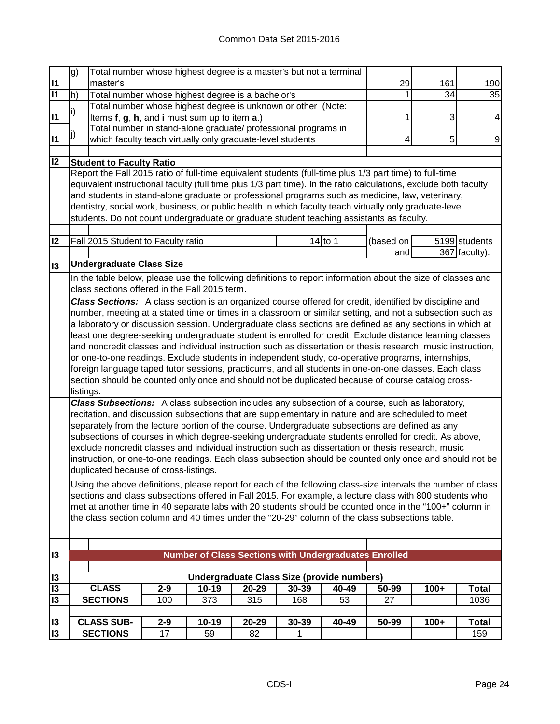|                 | g)                                                                                                            | Total number whose highest degree is a master's but not a terminal                                                                                                                                                    |                                                              |           |                                                              |           |           |           |        |               |
|-----------------|---------------------------------------------------------------------------------------------------------------|-----------------------------------------------------------------------------------------------------------------------------------------------------------------------------------------------------------------------|--------------------------------------------------------------|-----------|--------------------------------------------------------------|-----------|-----------|-----------|--------|---------------|
| 11              |                                                                                                               | master's<br>Total number whose highest degree is a bachelor's                                                                                                                                                         |                                                              |           |                                                              |           |           | 29        | 161    | 190           |
| $\overline{11}$ | h)                                                                                                            |                                                                                                                                                                                                                       |                                                              |           |                                                              |           |           |           | 34     | 35            |
| $\mathsf{I}$    | $\vert i)$                                                                                                    |                                                                                                                                                                                                                       | Total number whose highest degree is unknown or other (Note: |           |                                                              |           |           |           | 3      | 4             |
|                 |                                                                                                               | Items f, g, h, and i must sum up to item a.)<br>Total number in stand-alone graduate/ professional programs in                                                                                                        |                                                              |           |                                                              |           |           |           |        |               |
| <b>I1</b>       | j)                                                                                                            | which faculty teach virtually only graduate-level students                                                                                                                                                            |                                                              |           |                                                              |           |           |           | 5      | 9             |
|                 |                                                                                                               |                                                                                                                                                                                                                       |                                                              |           |                                                              |           |           |           |        |               |
| 12              |                                                                                                               | <b>Student to Faculty Ratio</b>                                                                                                                                                                                       |                                                              |           |                                                              |           |           |           |        |               |
|                 |                                                                                                               | Report the Fall 2015 ratio of full-time equivalent students (full-time plus 1/3 part time) to full-time                                                                                                               |                                                              |           |                                                              |           |           |           |        |               |
|                 |                                                                                                               | equivalent instructional faculty (full time plus 1/3 part time). In the ratio calculations, exclude both faculty                                                                                                      |                                                              |           |                                                              |           |           |           |        |               |
|                 |                                                                                                               | and students in stand-alone graduate or professional programs such as medicine, law, veterinary,                                                                                                                      |                                                              |           |                                                              |           |           |           |        |               |
|                 |                                                                                                               | dentistry, social work, business, or public health in which faculty teach virtually only graduate-level                                                                                                               |                                                              |           |                                                              |           |           |           |        |               |
|                 |                                                                                                               | students. Do not count undergraduate or graduate student teaching assistants as faculty.                                                                                                                              |                                                              |           |                                                              |           |           |           |        |               |
|                 |                                                                                                               |                                                                                                                                                                                                                       |                                                              |           |                                                              |           |           |           |        |               |
| 12              |                                                                                                               | Fall 2015 Student to Faculty ratio                                                                                                                                                                                    |                                                              |           |                                                              |           | $14$ to 1 | (based on |        | 5199 students |
|                 |                                                                                                               |                                                                                                                                                                                                                       |                                                              |           |                                                              |           |           | and       |        | 367 faculty). |
| $\overline{3}$  |                                                                                                               | <b>Undergraduate Class Size</b>                                                                                                                                                                                       |                                                              |           |                                                              |           |           |           |        |               |
|                 |                                                                                                               | In the table below, please use the following definitions to report information about the size of classes and                                                                                                          |                                                              |           |                                                              |           |           |           |        |               |
|                 |                                                                                                               | class sections offered in the Fall 2015 term.                                                                                                                                                                         |                                                              |           |                                                              |           |           |           |        |               |
|                 |                                                                                                               | Class Sections: A class section is an organized course offered for credit, identified by discipline and                                                                                                               |                                                              |           |                                                              |           |           |           |        |               |
|                 |                                                                                                               | number, meeting at a stated time or times in a classroom or similar setting, and not a subsection such as<br>a laboratory or discussion session. Undergraduate class sections are defined as any sections in which at |                                                              |           |                                                              |           |           |           |        |               |
|                 |                                                                                                               | least one degree-seeking undergraduate student is enrolled for credit. Exclude distance learning classes                                                                                                              |                                                              |           |                                                              |           |           |           |        |               |
|                 |                                                                                                               | and noncredit classes and individual instruction such as dissertation or thesis research, music instruction,                                                                                                          |                                                              |           |                                                              |           |           |           |        |               |
|                 |                                                                                                               | or one-to-one readings. Exclude students in independent study, co-operative programs, internships,                                                                                                                    |                                                              |           |                                                              |           |           |           |        |               |
|                 |                                                                                                               | foreign language taped tutor sessions, practicums, and all students in one-on-one classes. Each class                                                                                                                 |                                                              |           |                                                              |           |           |           |        |               |
|                 |                                                                                                               | section should be counted only once and should not be duplicated because of course catalog cross-                                                                                                                     |                                                              |           |                                                              |           |           |           |        |               |
|                 | listings.                                                                                                     |                                                                                                                                                                                                                       |                                                              |           |                                                              |           |           |           |        |               |
|                 |                                                                                                               | Class Subsections: A class subsection includes any subsection of a course, such as laboratory,                                                                                                                        |                                                              |           |                                                              |           |           |           |        |               |
|                 |                                                                                                               | recitation, and discussion subsections that are supplementary in nature and are scheduled to meet                                                                                                                     |                                                              |           |                                                              |           |           |           |        |               |
|                 |                                                                                                               | separately from the lecture portion of the course. Undergraduate subsections are defined as any                                                                                                                       |                                                              |           |                                                              |           |           |           |        |               |
|                 |                                                                                                               | subsections of courses in which degree-seeking undergraduate students enrolled for credit. As above,                                                                                                                  |                                                              |           |                                                              |           |           |           |        |               |
|                 |                                                                                                               | exclude noncredit classes and individual instruction such as dissertation or thesis research, music                                                                                                                   |                                                              |           |                                                              |           |           |           |        |               |
|                 | instruction, or one-to-one readings. Each class subsection should be counted only once and should not be      |                                                                                                                                                                                                                       |                                                              |           |                                                              |           |           |           |        |               |
|                 | duplicated because of cross-listings.                                                                         |                                                                                                                                                                                                                       |                                                              |           |                                                              |           |           |           |        |               |
|                 | Using the above definitions, please report for each of the following class-size intervals the number of class |                                                                                                                                                                                                                       |                                                              |           |                                                              |           |           |           |        |               |
|                 | sections and class subsections offered in Fall 2015. For example, a lecture class with 800 students who       |                                                                                                                                                                                                                       |                                                              |           |                                                              |           |           |           |        |               |
|                 | met at another time in 40 separate labs with 20 students should be counted once in the "100+" column in       |                                                                                                                                                                                                                       |                                                              |           |                                                              |           |           |           |        |               |
|                 | the class section column and 40 times under the "20-29" column of the class subsections table.                |                                                                                                                                                                                                                       |                                                              |           |                                                              |           |           |           |        |               |
|                 |                                                                                                               |                                                                                                                                                                                                                       |                                                              |           |                                                              |           |           |           |        |               |
|                 |                                                                                                               |                                                                                                                                                                                                                       |                                                              |           |                                                              |           |           |           |        |               |
| 13              |                                                                                                               |                                                                                                                                                                                                                       |                                                              |           | <b>Number of Class Sections with Undergraduates Enrolled</b> |           |           |           |        |               |
| 13              | Undergraduate Class Size (provide numbers)                                                                    |                                                                                                                                                                                                                       |                                                              |           |                                                              |           |           |           |        |               |
| 13              |                                                                                                               | <b>CLASS</b>                                                                                                                                                                                                          | $2 - 9$                                                      | $10 - 19$ | 20-29                                                        | 30-39     | 40-49     | 50-99     | $100+$ | <b>Total</b>  |
| 13              |                                                                                                               | <b>SECTIONS</b>                                                                                                                                                                                                       | 100                                                          | 373       | 315                                                          | 168       | 53        | 27        |        | 1036          |
|                 |                                                                                                               |                                                                                                                                                                                                                       |                                                              |           |                                                              |           |           |           |        |               |
| 13              |                                                                                                               | <b>CLASS SUB-</b>                                                                                                                                                                                                     | $2 - 9$                                                      | $10 - 19$ | 20-29                                                        | $30 - 39$ | 40-49     | 50-99     | $100+$ | <b>Total</b>  |
| 13              |                                                                                                               | <b>SECTIONS</b>                                                                                                                                                                                                       | 17                                                           | 59        | 82                                                           | 1         |           |           |        | 159           |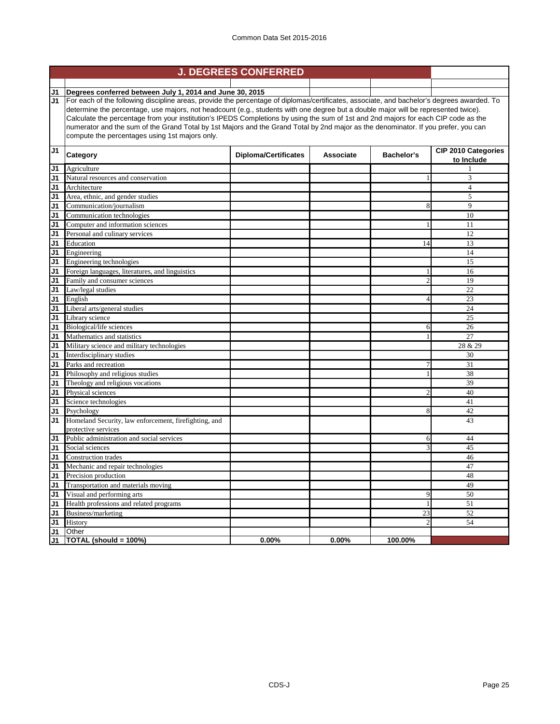| J1             | Degrees conferred between July 1, 2014 and June 30, 2015                                                                                   |                                          |          |              |                |  |  |
|----------------|--------------------------------------------------------------------------------------------------------------------------------------------|------------------------------------------|----------|--------------|----------------|--|--|
| J1             | For each of the following discipline areas, provide the percentage of diplomas/certificates, associate, and bachelor's degrees awarded. To |                                          |          |              |                |  |  |
|                | determine the percentage, use majors, not headcount (e.g., students with one degree but a double major will be represented twice).         |                                          |          |              |                |  |  |
|                | Calculate the percentage from your institution's IPEDS Completions by using the sum of 1st and 2nd majors for each CIP code as the         |                                          |          |              |                |  |  |
|                | numerator and the sum of the Grand Total by 1st Majors and the Grand Total by 2nd major as the denominator. If you prefer, you can         |                                          |          |              |                |  |  |
|                | compute the percentages using 1st majors only.                                                                                             |                                          |          |              |                |  |  |
| J <sub>1</sub> | Category                                                                                                                                   | <b>CIP 2010 Categories</b><br>to Include |          |              |                |  |  |
| J1             | Agriculture                                                                                                                                |                                          |          |              |                |  |  |
| J1             | Natural resources and conservation                                                                                                         |                                          |          |              | 3              |  |  |
| J <sub>1</sub> | Architecture                                                                                                                               |                                          |          |              | $\overline{4}$ |  |  |
| J1             | Area, ethnic, and gender studies                                                                                                           |                                          |          |              | 5              |  |  |
| J1             | Communication/journalism                                                                                                                   |                                          |          |              | 9              |  |  |
| J1             | Communication technologies                                                                                                                 |                                          |          |              | 10             |  |  |
| J <sub>1</sub> | Computer and information sciences                                                                                                          |                                          |          |              | 11             |  |  |
| J1             | Personal and culinary services                                                                                                             |                                          |          |              | 12             |  |  |
| J1             | Education                                                                                                                                  |                                          |          | 14           | 13             |  |  |
| J1             | Engineering                                                                                                                                |                                          |          |              | 14             |  |  |
| J1             | Engineering technologies                                                                                                                   |                                          |          |              | 15             |  |  |
| J <sub>1</sub> | Foreign languages, literatures, and linguistics                                                                                            |                                          |          |              | 16             |  |  |
| J <sub>1</sub> | Family and consumer sciences                                                                                                               |                                          |          |              | 19             |  |  |
| J1             | Law/legal studies                                                                                                                          |                                          |          |              | 22             |  |  |
| J1             | English                                                                                                                                    |                                          |          |              | 23             |  |  |
| J <sub>1</sub> | Liberal arts/general studies                                                                                                               |                                          |          |              | 24             |  |  |
| J <sub>1</sub> | Library science                                                                                                                            |                                          |          |              | 25             |  |  |
| J <sub>1</sub> | Biological/life sciences                                                                                                                   |                                          |          | 6            | 26             |  |  |
| J1             | Mathematics and statistics                                                                                                                 |                                          |          |              | 27             |  |  |
| J <sub>1</sub> | Military science and military technologies                                                                                                 |                                          |          |              | 28 & 29        |  |  |
| J <sub>1</sub> | Interdisciplinary studies                                                                                                                  |                                          |          |              | 30             |  |  |
| J1             | Parks and recreation                                                                                                                       |                                          |          | 7            | 31             |  |  |
| J <sub>1</sub> | Philosophy and religious studies                                                                                                           |                                          |          |              | 38             |  |  |
| J1             | Theology and religious vocations                                                                                                           |                                          |          |              | 39             |  |  |
| J1             | Physical sciences                                                                                                                          |                                          |          |              | 40             |  |  |
| J1             | Science technologies                                                                                                                       |                                          |          |              | 41             |  |  |
| J1             | Psychology                                                                                                                                 |                                          |          | 8            | 42             |  |  |
| J1             | Homeland Security, law enforcement, firefighting, and                                                                                      |                                          |          |              | 43             |  |  |
|                | protective services                                                                                                                        |                                          |          |              |                |  |  |
| J1             | Public administration and social services                                                                                                  |                                          |          | 6            | 44             |  |  |
| J1             | Social sciences                                                                                                                            |                                          |          | 3            | 45             |  |  |
| J1             | <b>Construction</b> trades                                                                                                                 |                                          |          |              | 46             |  |  |
| J1             | Mechanic and repair technologies                                                                                                           |                                          |          |              | 47             |  |  |
| J1             | Precision production                                                                                                                       |                                          |          |              | 48             |  |  |
| J1             | Transportation and materials moving                                                                                                        |                                          |          |              | 49             |  |  |
| J <sub>1</sub> | Visual and performing arts                                                                                                                 |                                          |          | 9            | 50             |  |  |
| J1             | Health professions and related programs                                                                                                    |                                          |          | $\mathbf{1}$ | 51             |  |  |
| J1             | Business/marketing                                                                                                                         |                                          |          | 23           | 52             |  |  |
| J1             | History                                                                                                                                    |                                          |          |              | 54             |  |  |
| J1             | Other                                                                                                                                      |                                          |          |              |                |  |  |
| J1             | TOTAL (should = 100%)                                                                                                                      | 0.00%                                    | $0.00\%$ | 100.00%      |                |  |  |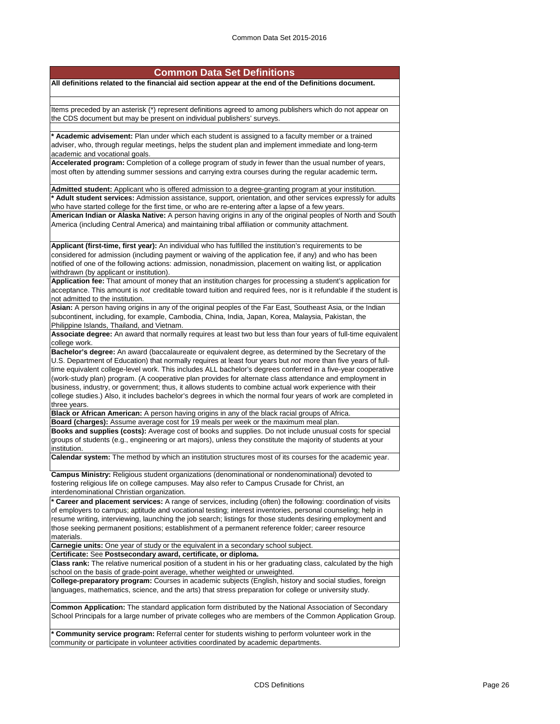#### **Common Data Set Definitions**

**All definitions related to the financial aid section appear at the end of the Definitions document.**

Items preceded by an asterisk (\*) represent definitions agreed to among publishers which do not appear on the CDS document but may be present on individual publishers' surveys.

**\* Academic advisement:** Plan under which each student is assigned to a faculty member or a trained adviser, who, through regular meetings, helps the student plan and implement immediate and long-term academic and vocational goals.

**Accelerated program:** Completion of a college program of study in fewer than the usual number of years, most often by attending summer sessions and carrying extra courses during the regular academic term**.**

**Admitted student:** Applicant who is offered admission to a degree-granting program at your institution. **\* Adult student services:** Admission assistance, support, orientation, and other services expressly for adults who have started college for the first time, or who are re-entering after a lapse of a few years. **American Indian or Alaska Native:** A person having origins in any of the original peoples of North and South America (including Central America) and maintaining tribal affiliation or community attachment.

**Applicant (first-time, first year):** An individual who has fulfilled the institution's requirements to be considered for admission (including payment or waiving of the application fee, if any) and who has been notified of one of the following actions: admission, nonadmission, placement on waiting list, or application withdrawn (by applicant or institution).

**Application fee:** That amount of money that an institution charges for processing a student's application for acceptance. This amount is *not* creditable toward tuition and required fees, nor is it refundable if the student is not admitted to the institution.

**Asian:** A person having origins in any of the original peoples of the Far East, Southeast Asia, or the Indian subcontinent, including, for example, Cambodia, China, India, Japan, Korea, Malaysia, Pakistan, the Philippine Islands, Thailand, and Vietnam.

**Associate degree:** An award that normally requires at least two but less than four years of full-time equivalent college work.

**Bachelor's degree:** An award (baccalaureate or equivalent degree, as determined by the Secretary of the U.S. Department of Education) that normally requires at least four years but *not* more than five years of fulltime equivalent college-level work. This includes ALL bachelor's degrees conferred in a five-year cooperative (work-study plan) program. (A cooperative plan provides for alternate class attendance and employment in business, industry, or government; thus, it allows students to combine actual work experience with their college studies.) Also, it includes bachelor's degrees in which the normal four years of work are completed in three years.

**Black or African American:** A person having origins in any of the black racial groups of Africa.

**Board (charges):** Assume average cost for 19 meals per week or the maximum meal plan. **Books and supplies (costs):** Average cost of books and supplies. Do not include unusual costs for special groups of students (e.g., engineering or art majors), unless they constitute the majority of students at your institution.

**Calendar system:** The method by which an institution structures most of its courses for the academic year.

**Campus Ministry:** Religious student organizations (denominational or nondenominational) devoted to fostering religious life on college campuses. May also refer to Campus Crusade for Christ, an interdenominational Christian organization.

**\* Career and placement services:** A range of services, including (often) the following: coordination of visits of employers to campus; aptitude and vocational testing; interest inventories, personal counseling; help in resume writing, interviewing, launching the job search; listings for those students desiring employment and those seeking permanent positions; establishment of a permanent reference folder; career resource materials.

**Carnegie units:** One year of study or the equivalent in a secondary school subject.

**Certificate:** See **Postsecondary award, certificate, or diploma.**

**Class rank:** The relative numerical position of a student in his or her graduating class, calculated by the high school on the basis of grade-point average, whether weighted or unweighted.

**College-preparatory program:** Courses in academic subjects (English, history and social studies, foreign languages, mathematics, science, and the arts) that stress preparation for college or university study.

**Common Application:** The standard application form distributed by the National Association of Secondary School Principals for a large number of private colleges who are members of the Common Application Group.

**\* Community service program:** Referral center for students wishing to perform volunteer work in the community or participate in volunteer activities coordinated by academic departments.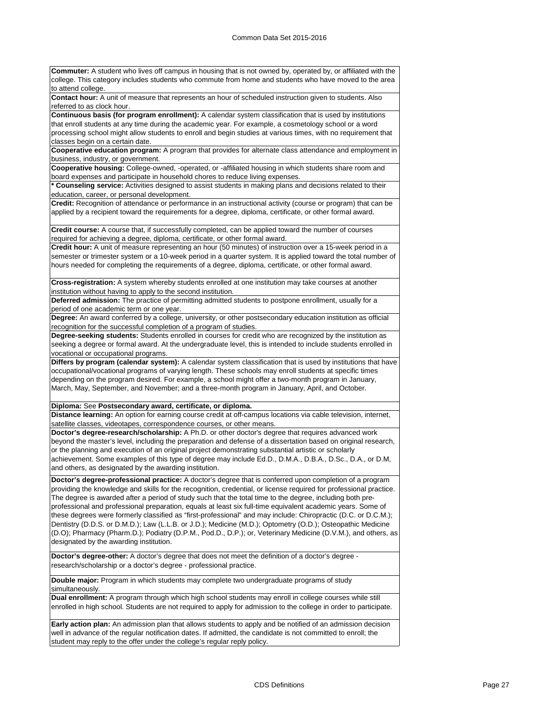**Commuter:** A student who lives off campus in housing that is not owned by, operated by, or affiliated with the college. This category includes students who commute from home and students who have moved to the area to attend college.

**Contact hour:** A unit of measure that represents an hour of scheduled instruction given to students. Also referred to as clock hour.

**Continuous basis (for program enrollment):** A calendar system classification that is used by institutions that enroll students at any time during the academic year. For example, a cosmetology school or a word processing school might allow students to enroll and begin studies at various times, with no requirement that classes begin on a certain date.

**Cooperative education program:** A program that provides for alternate class attendance and employment in business, industry, or government.

**Cooperative housing:** College-owned, -operated, or -affiliated housing in which students share room and board expenses and participate in household chores to reduce living expenses.

**\* Counseling service:** Activities designed to assist students in making plans and decisions related to their education, career, or personal development.

**Credit:** Recognition of attendance or performance in an instructional activity (course or program) that can be applied by a recipient toward the requirements for a degree, diploma, certificate, or other formal award.

**Credit course:** A course that, if successfully completed, can be applied toward the number of courses required for achieving a degree, diploma, certificate, or other formal award.

**Credit hour:** A unit of measure representing an hour (50 minutes) of instruction over a 15-week period in a semester or trimester system or a 10-week period in a quarter system. It is applied toward the total number of hours needed for completing the requirements of a degree, diploma, certificate, or other formal award.

**Cross-registration:** A system whereby students enrolled at one institution may take courses at another institution without having to apply to the second institution.

**Deferred admission:** The practice of permitting admitted students to postpone enrollment, usually for a period of one academic term or one year.

**Degree:** An award conferred by a college, university, or other postsecondary education institution as official recognition for the successful completion of a program of studies.

**Degree-seeking students:** Students enrolled in courses for credit who are recognized by the institution as seeking a degree or formal award. At the undergraduate level, this is intended to include students enrolled in vocational or occupational programs.

**Differs by program (calendar system):** A calendar system classification that is used by institutions that have occupational/vocational programs of varying length. These schools may enroll students at specific times depending on the program desired. For example, a school might offer a two-month program in January, March, May, September, and November; and a three-month program in January, April, and October.

#### **Diploma:** See **Postsecondary award, certificate, or diploma.**

**Distance learning:** An option for earning course credit at off-campus locations via cable television, internet, satellite classes, videotapes, correspondence courses, or other means.

**Doctor's degree-research/scholarship:** A Ph.D. or other doctor's degree that requires advanced work beyond the master's level, including the preparation and defense of a dissertation based on original research, or the planning and execution of an original project demonstrating substantial artistic or scholarly achievement. Some examples of this type of degree may include Ed.D., D.M.A., D.B.A., D.Sc., D.A., or D.M, and others, as designated by the awarding institution.

**Doctor's degree-professional practice:** A doctor's degree that is conferred upon completion of a program providing the knowledge and skills for the recognition, credential, or license required for professional practice. The degree is awarded after a period of study such that the total time to the degree, including both preprofessional and professional preparation, equals at least six full-time equivalent academic years. Some of these degrees were formerly classified as "first-professional" and may include: Chiropractic (D.C. or D.C.M.); Dentistry (D.D.S. or D.M.D.); Law (L.L.B. or J.D.); Medicine (M.D.); Optometry (O.D.); Osteopathic Medicine (D.O); Pharmacy (Pharm.D.); Podiatry (D.P.M., Pod.D., D.P.); or, Veterinary Medicine (D.V.M.), and others, as designated by the awarding institution.

**Doctor's degree-other:** A doctor's degree that does not meet the definition of a doctor's degree research/scholarship or a doctor's degree - professional practice.

**Double major:** Program in which students may complete two undergraduate programs of study simultaneously.

**Dual enrollment:** A program through which high school students may enroll in college courses while still enrolled in high school. Students are not required to apply for admission to the college in order to participate.

**Early action plan:** An admission plan that allows students to apply and be notified of an admission decision well in advance of the regular notification dates. If admitted, the candidate is not committed to enroll; the student may reply to the offer under the college's regular reply policy.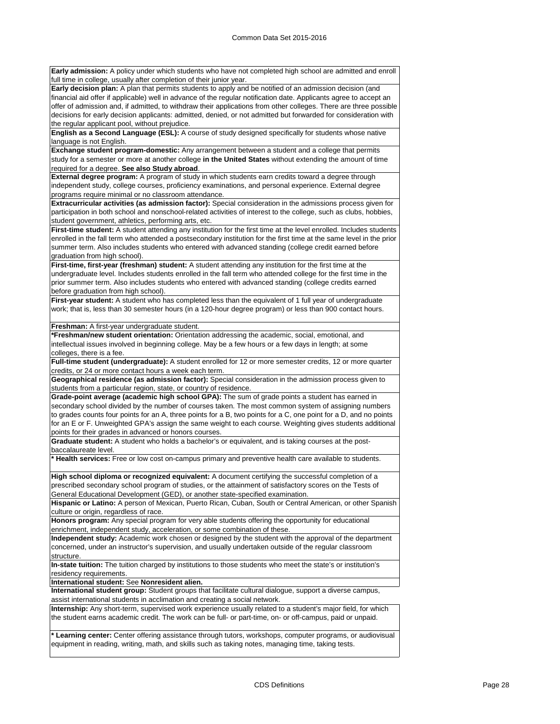**Early admission:** A policy under which students who have not completed high school are admitted and enroll full time in college, usually after completion of their junior year.

**Early decision plan:** A plan that permits students to apply and be notified of an admission decision (and financial aid offer if applicable) well in advance of the regular notification date. Applicants agree to accept an offer of admission and, if admitted, to withdraw their applications from other colleges. There are three possible decisions for early decision applicants: admitted, denied, or not admitted but forwarded for consideration with the regular applicant pool, without prejudice.

**English as a Second Language (ESL):** A course of study designed specifically for students whose native language is not English.

**Exchange student program-domestic:** Any arrangement between a student and a college that permits study for a semester or more at another college **in the United States** without extending the amount of time required for a degree. **See also Study abroad**.

**External degree program:** A program of study in which students earn credits toward a degree through independent study, college courses, proficiency examinations, and personal experience. External degree programs require minimal or no classroom attendance.

**Extracurricular activities (as admission factor):** Special consideration in the admissions process given for participation in both school and nonschool-related activities of interest to the college, such as clubs, hobbies, student government, athletics, performing arts, etc.

**First-time student:** A student attending any institution for the first time at the level enrolled. Includes students enrolled in the fall term who attended a postsecondary institution for the first time at the same level in the prior summer term. Also includes students who entered with advanced standing (college credit earned before graduation from high school).

**First-time, first-year (freshman) student:** A student attending any institution for the first time at the undergraduate level. Includes students enrolled in the fall term who attended college for the first time in the prior summer term. Also includes students who entered with advanced standing (college credits earned before graduation from high school).

First-year student: A student who has completed less than the equivalent of 1 full year of undergraduate work; that is, less than 30 semester hours (in a 120-hour degree program) or less than 900 contact hours.

**Freshman:** A first-year undergraduate student.

**\*Freshman/new student orientation:** Orientation addressing the academic, social, emotional, and intellectual issues involved in beginning college. May be a few hours or a few days in length; at some colleges, there is a fee.

**Full-time student (undergraduate):** A student enrolled for 12 or more semester credits, 12 or more quarter credits, or 24 or more contact hours a week each term.

**Geographical residence (as admission factor):** Special consideration in the admission process given to students from a particular region, state, or country of residence.

**Grade-point average (academic high school GPA):** The sum of grade points a student has earned in secondary school divided by the number of courses taken. The most common system of assigning numbers to grades counts four points for an A, three points for a B, two points for a C, one point for a D, and no points for an E or F. Unweighted GPA's assign the same weight to each course. Weighting gives students additional points for their grades in advanced or honors courses.

**Graduate student:** A student who holds a bachelor's or equivalent, and is taking courses at the postbaccalaureate level.

**\* Health services:** Free or low cost on-campus primary and preventive health care available to students.

**High school diploma or recognized equivalent:** A document certifying the successful completion of a prescribed secondary school program of studies, or the attainment of satisfactory scores on the Tests of General Educational Development (GED), or another state-specified examination.

**Hispanic or Latino:** A person of Mexican, Puerto Rican, Cuban, South or Central American, or other Spanish culture or origin, regardless of race.

**Honors program:** Any special program for very able students offering the opportunity for educational enrichment, independent study, acceleration, or some combination of these.

**Independent study:** Academic work chosen or designed by the student with the approval of the department concerned, under an instructor's supervision, and usually undertaken outside of the regular classroom structure.

**In-state tuition:** The tuition charged by institutions to those students who meet the state's or institution's residency requirements.

**International student:** See **Nonresident alien.**

**International student group:** Student groups that facilitate cultural dialogue, support a diverse campus, assist international students in acclimation and creating a social network.

**Internship:** Any short-term, supervised work experience usually related to a student's major field, for which the student earns academic credit. The work can be full- or part-time, on- or off-campus, paid or unpaid.

**\* Learning center:** Center offering assistance through tutors, workshops, computer programs, or audiovisual equipment in reading, writing, math, and skills such as taking notes, managing time, taking tests.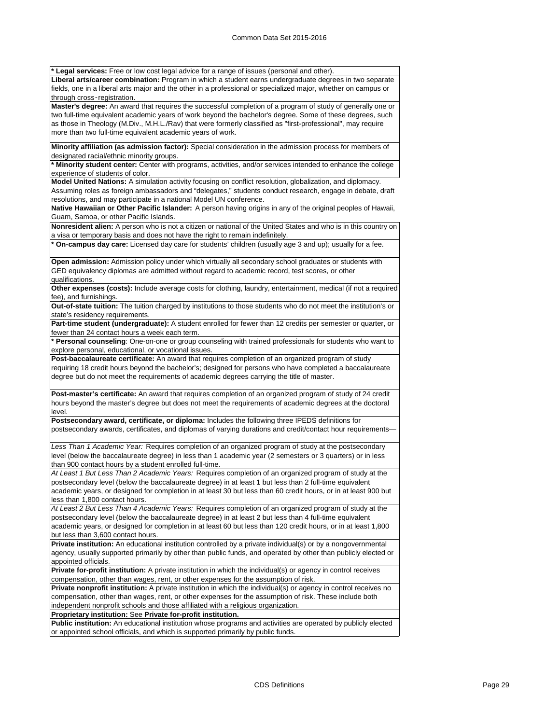**\* Legal services:** Free or low cost legal advice for a range of issues (personal and other).

**Liberal arts/career combination:** Program in which a student earns undergraduate degrees in two separate fields, one in a liberal arts major and the other in a professional or specialized major, whether on campus or through cross‑registration.

**Master's degree:** An award that requires the successful completion of a program of study of generally one or two full-time equivalent academic years of work beyond the bachelor's degree. Some of these degrees, such as those in Theology (M.Div., M.H.L./Rav) that were formerly classified as "first-professional", may require more than two full-time equivalent academic years of work.

**Minority affiliation (as admission factor):** Special consideration in the admission process for members of designated racial/ethnic minority groups.

**\* Minority student center:** Center with programs, activities, and/or services intended to enhance the college experience of students of color.

**Model United Nations:** A simulation activity focusing on conflict resolution, globalization, and diplomacy.

Assuming roles as foreign ambassadors and "delegates," students conduct research, engage in debate, draft resolutions, and may participate in a national Model UN conference.

**Native Hawaiian or Other Pacific Islander:** A person having origins in any of the original peoples of Hawaii, Guam, Samoa, or other Pacific Islands.

**Nonresident alien:** A person who is not a citizen or national of the United States and who is in this country on a visa or temporary basis and does not have the right to remain indefinitely.

**\* On-campus day care:** Licensed day care for students' children (usually age 3 and up); usually for a fee.

**Open admission:** Admission policy under which virtually all secondary school graduates or students with GED equivalency diplomas are admitted without regard to academic record, test scores, or other qualifications.

**Other expenses (costs):** Include average costs for clothing, laundry, entertainment, medical (if not a required fee), and furnishings.

**Out-of-state tuition:** The tuition charged by institutions to those students who do not meet the institution's or state's residency requirements.

**Part-time student (undergraduate):** A student enrolled for fewer than 12 credits per semester or quarter, or fewer than 24 contact hours a week each term.

**\* Personal counseling**: One-on-one or group counseling with trained professionals for students who want to explore personal, educational, or vocational issues.

**Post-baccalaureate certificate:** An award that requires completion of an organized program of study requiring 18 credit hours beyond the bachelor's; designed for persons who have completed a baccalaureate degree but do not meet the requirements of academic degrees carrying the title of master.

**Post-master's certificate:** An award that requires completion of an organized program of study of 24 credit hours beyond the master's degree but does not meet the requirements of academic degrees at the doctoral level.

**Postsecondary award, certificate, or diploma:** Includes the following three IPEDS definitions for postsecondary awards, certificates, and diplomas of varying durations and credit/contact hour requirements-

*Less Than 1 Academic Year:* Requires completion of an organized program of study at the postsecondary level (below the baccalaureate degree) in less than 1 academic year (2 semesters or 3 quarters) or in less than 900 contact hours by a student enrolled full-time.

*At Least 1 But Less Than 2 Academic Years:* Requires completion of an organized program of study at the postsecondary level (below the baccalaureate degree) in at least 1 but less than 2 full-time equivalent academic years, or designed for completion in at least 30 but less than 60 credit hours, or in at least 900 but less than 1,800 contact hours.

*At Least 2 But Less Than 4 Academic Years:* Requires completion of an organized program of study at the postsecondary level (below the baccalaureate degree) in at least 2 but less than 4 full-time equivalent academic years, or designed for completion in at least 60 but less than 120 credit hours, or in at least 1,800 but less than 3,600 contact hours.

**Private institution:** An educational institution controlled by a private individual(s) or by a nongovernmental agency, usually supported primarily by other than public funds, and operated by other than publicly elected or appointed officials.

**Private for-profit institution:** A private institution in which the individual(s) or agency in control receives compensation, other than wages, rent, or other expenses for the assumption of risk.

**Private nonprofit institution:** A private institution in which the individual(s) or agency in control receives no compensation, other than wages, rent, or other expenses for the assumption of risk. These include both independent nonprofit schools and those affiliated with a religious organization.

**Proprietary institution:** See **Private for-profit institution.**

**Public institution:** An educational institution whose programs and activities are operated by publicly elected or appointed school officials, and which is supported primarily by public funds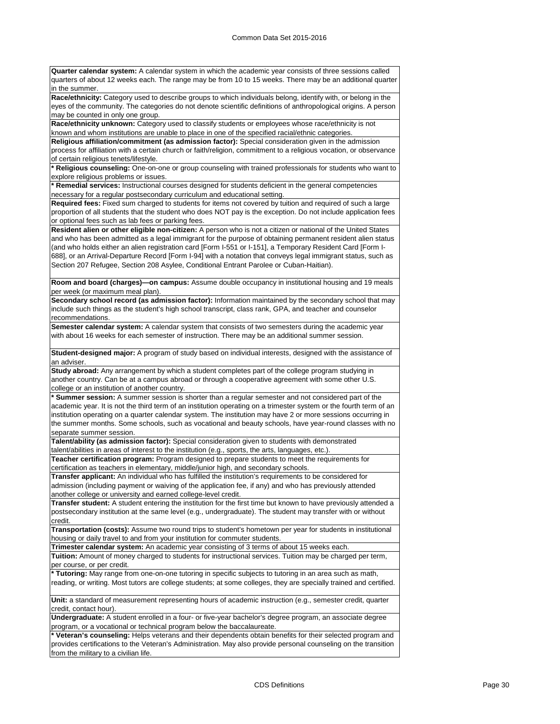**Quarter calendar system:** A calendar system in which the academic year consists of three sessions called quarters of about 12 weeks each. The range may be from 10 to 15 weeks. There may be an additional quarter in the summer.

**Race/ethnicity:** Category used to describe groups to which individuals belong, identify with, or belong in the eyes of the community. The categories do not denote scientific definitions of anthropological origins. A person may be counted in only one group.

**Race/ethnicity unknown:** Category used to classify students or employees whose race/ethnicity is not known and whom institutions are unable to place in one of the specified racial/ethnic categories.

**Religious affiliation/commitment (as admission factor):** Special consideration given in the admission process for affiliation with a certain church or faith/religion, commitment to a religious vocation, or observance of certain religious tenets/lifestyle.

**\* Religious counseling:** One-on-one or group counseling with trained professionals for students who want to explore religious problems or issues.

**\* Remedial services:** Instructional courses designed for students deficient in the general competencies necessary for a regular postsecondary curriculum and educational setting.

**Required fees:** Fixed sum charged to students for items not covered by tuition and required of such a large proportion of all students that the student who does NOT pay is the exception. Do not include application fees or optional fees such as lab fees or parking fees.

**Resident alien or other eligible non-citizen:** A person who is not a citizen or national of the United States and who has been admitted as a legal immigrant for the purpose of obtaining permanent resident alien status (and who holds either an alien registration card [Form I-551 or I-151], a Temporary Resident Card [Form I-688], or an Arrival-Departure Record [Form I-94] with a notation that conveys legal immigrant status, such as Section 207 Refugee, Section 208 Asylee, Conditional Entrant Parolee or Cuban-Haitian).

**Room and board (charges)—on campus:** Assume double occupancy in institutional housing and 19 meals per week (or maximum meal plan).

**Secondary school record (as admission factor):** Information maintained by the secondary school that may include such things as the student's high school transcript, class rank, GPA, and teacher and counselor recommendations.

**Semester calendar system:** A calendar system that consists of two semesters during the academic year with about 16 weeks for each semester of instruction. There may be an additional summer session.

**Student-designed major:** A program of study based on individual interests, designed with the assistance of an adviser.

**Study abroad:** Any arrangement by which a student completes part of the college program studying in another country. Can be at a campus abroad or through a cooperative agreement with some other U.S. college or an institution of another country.

**\* Summer session:** A summer session is shorter than a regular semester and not considered part of the academic year. It is not the third term of an institution operating on a trimester system or the fourth term of an institution operating on a quarter calendar system. The institution may have 2 or more sessions occurring in the summer months. Some schools, such as vocational and beauty schools, have year-round classes with no separate summer session.

**Talent/ability (as admission factor):** Special consideration given to students with demonstrated talent/abilities in areas of interest to the institution (e.g., sports, the arts, languages, etc.).

**Teacher certification program:** Program designed to prepare students to meet the requirements for certification as teachers in elementary, middle/junior high, and secondary schools.

**Transfer applicant:** An individual who has fulfilled the institution's requirements to be considered for admission (including payment or waiving of the application fee, if any) and who has previously attended another college or university and earned college-level credit.

**Transfer student:** A student entering the institution for the first time but known to have previously attended a postsecondary institution at the same level (e.g., undergraduate). The student may transfer with or without credit.

**Transportation (costs):** Assume two round trips to student's hometown per year for students in institutional housing or daily travel to and from your institution for commuter students.

**Trimester calendar system:** An academic year consisting of 3 terms of about 15 weeks each.

**Tuition:** Amount of money charged to students for instructional services. Tuition may be charged per term, per course, or per credit.

**\* Tutoring:** May range from one-on-one tutoring in specific subjects to tutoring in an area such as math, reading, or writing. Most tutors are college students; at some colleges, they are specially trained and certified.

**Unit:** a standard of measurement representing hours of academic instruction (e.g., semester credit, quarter credit, contact hour).

**Undergraduate:** A student enrolled in a four- or five-year bachelor's degree program, an associate degree program, or a vocational or technical program below the baccalaureate.

**\* Veteran's counseling:** Helps veterans and their dependents obtain benefits for their selected program and provides certifications to the Veteran's Administration. May also provide personal counseling on the transition from the military to a civilian life.